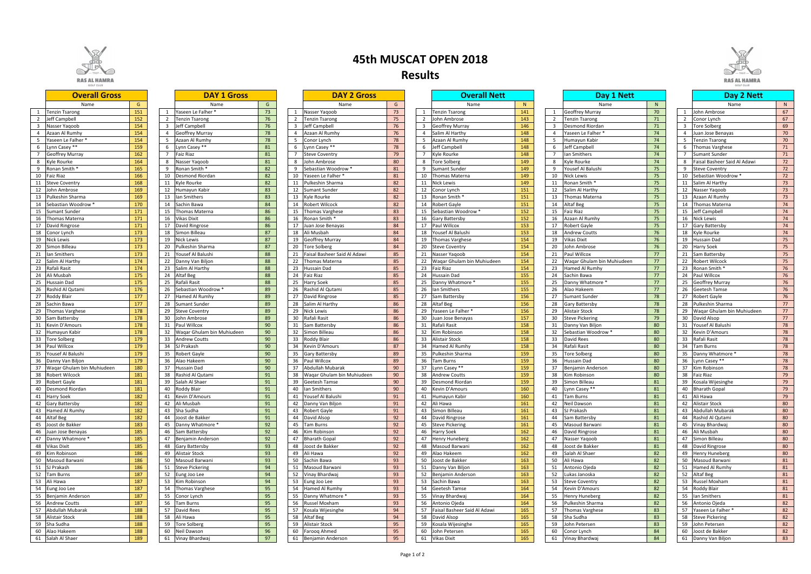|                | <b>Overall Gross</b>                           |            |                | <b>DAY 1 Gross</b>                |          |                |    | <b>DAY 2 Gross</b>                |          |
|----------------|------------------------------------------------|------------|----------------|-----------------------------------|----------|----------------|----|-----------------------------------|----------|
|                | Name                                           | G          |                | Name                              | G        |                |    | Name                              | G        |
| $\mathbf{1}$   | <b>Tenzin Tsarong</b>                          | 151        | $\mathbf{1}$   | Yaseen Le Falher *                | 73       | 1              |    | Nasser Yaqoob                     | 73       |
| $\overline{2}$ | Jeff Campbell                                  | 152        | $\overline{2}$ | <b>Tenzin Tsarong</b>             | 76       | $\overline{2}$ |    | <b>Tenzin Tsarong</b>             | 75       |
| 3              | Nasser Yaqoob                                  | 154        | 3              | Jeff Campbell                     | 76       | 3              |    | Jeff Campbell                     | 76       |
| 4              | Azaan Al Rumhy                                 | 154        | 4              | <b>Geoffrey Murray</b>            | 78       | $\overline{4}$ |    | Azaan Al Rumhy                    | 76       |
| 5              | Yaseen Le Falher *                             | 154        | 5              | Azaan Al Rumhy                    | 78       | 5              |    | Conor Lynch                       | 78       |
| 6              | Lynn Casey **                                  | 159        | 6              | Lynn Casey **                     | 81       | 6              |    | Lynn Casey **                     | 78       |
| $\overline{7}$ | <b>Geoffrey Murray</b>                         | 162        | $\overline{7}$ | Faiz Riaz                         | 81       | $\overline{7}$ |    | <b>Steve Coventry</b>             | 79       |
| 8              | Kyle Rourke                                    | 164        | 8              | Nasser Yaqoob                     | 81       | 8              |    | John Ambrose                      | 80       |
| 9              | Ronan Smith *                                  | 165        | 9              | Ronan Smith *                     | 82       | 9              |    | Sebastian Woodrow *               | 81       |
| 10             | <b>Faiz Riaz</b>                               | 166        | 10             | Desmond Riordan                   | 82       | 10             |    | Yaseen Le Falher *                | 81       |
| 11             | <b>Steve Coventry</b>                          | 168        | 11             | Kyle Rourke                       | 82       | 11             |    | Pulkeshin Sharma                  | 82       |
| 12             | John Ambrose                                   | 169        | 12             | Humayun Kabir                     | 83       | 12             |    | <b>Sumant Sunder</b>              | 82       |
| 13             | Pulkeshin Sharma                               | 169        | 13             | lan Smithers                      | 83       | 13             |    | Kyle Rourke                       | 82       |
| 14             | Sebastian Woodrow *                            | 170        | 14             | Sachin Bawa                       | 84       | 14             |    | <b>Robert Wilcock</b>             | 82       |
| 15             | <b>Sumant Sunder</b>                           | 171        | 15             | Thomas Materna                    | 86       | 15             |    | <b>Thomas Varghese</b>            | 83       |
| 16             | <b>Thomas Materna</b>                          | 171        | 16             | Vikas Dixit                       | 86       | 16             |    | Ronan Smith *                     | 83       |
| 17             | David Ringrose                                 | 171        | 17             | David Ringrose                    | 86       | 17             |    | Juan Jose Benayas                 | 84       |
| 18             | Conor Lynch                                    | 173        | 18             | Simon Billeau                     | 87       | 18             |    | Ali Musbah                        | 84       |
| 19             | <b>Nick Lewis</b>                              | 173        | 19             | <b>Nick Lewis</b>                 | 87       | 19             |    | <b>Geoffrey Murray</b>            | 84       |
| 20             | Simon Billeau                                  | 173        | 20             | Pulkeshin Sharma                  | 87       | 20             |    | Tore Solberg                      | 84       |
| 21             | lan Smithers                                   | 173        | 21             | Yousef Al Balushi                 | 88       | 21             |    | Faisal Basheer Said Al Adawi      | 85       |
| 22             | Salim Al Harthy                                | 174        | 22             | Danny Van Biljon                  | 88       | 22             |    | Thomas Materna                    | 85       |
| 23             | Rafali Rasit                                   | 174        | 23             | Salim Al Harthy                   | 88       | 23             |    | <b>Hussain Dad</b>                | 85       |
| 24             | Ali Musbah                                     | 175        | 24             | Altaf Beg                         | 88       | 24             |    | <b>Faiz Riaz</b>                  | 85       |
| 25             | Hussain Dad                                    | 175        | 25             | Rafali Rasit                      | 88       | 25             |    | <b>Harry Soek</b>                 | 85       |
| 26             | Rashid Al Qutami                               | 176        | 26             | Sebastian Woodrow *               | 89       | 26             |    | Rashid Al Qutami                  | 85       |
| 27             | Roddy Blair                                    | 177        | 27             | Hamed Al Rumhy                    | 89       | 27             |    | David Ringrose                    | 85       |
| 28             | Sachin Bawa                                    | 177        | 28             | <b>Sumant Sunder</b>              | 89       | 28             |    | Salim Al Harthy                   | 86       |
| 29             | Thomas Varghese                                | 178        | 29             | <b>Steve Coventry</b>             | 89       | 29             |    | <b>Nick Lewis</b>                 | 86       |
|                |                                                | 178        | 30             |                                   | 89       | 30             |    |                                   | 86       |
| 30<br>31       | Sam Battersby<br>Kevin D'Amours                | 178        | 31             | John Ambrose<br>Paul Willcox      | 90       | 31             |    | Rafali Rasit<br>Sam Battersby     | 86       |
|                |                                                | 178        | 32             |                                   | 90       | 32             |    |                                   | 86       |
| 32             | Humayun Kabir                                  |            | 33             | Waqar Ghulam bin Muhiudeen        | 90       |                |    | Simon Billeau                     | 86       |
| 33             | Tore Solberg                                   | 179<br>179 |                | <b>Andrew Coutts</b>              |          | 33             |    | Roddy Blair                       |          |
| 34<br>35       | Paul Willcox<br>Yousef Al Balushi              |            | 34             | SJ Prakash                        | 90       | 34             |    | Kevin D'Amours                    | 87<br>89 |
|                |                                                | 179<br>179 | 35             | Robert Gayle                      | 90       | 35             |    | <b>Gary Battersby</b>             |          |
| 36<br>37       | Danny Van Biljon<br>Wagar Ghulam bin Muhiudeen | 180        | 36<br>37       | Alao Hakeem<br><b>Hussain Dad</b> | 90<br>90 | 36<br>37       |    | Paul Willcox<br>Abdullah Mubarak  | 89<br>90 |
| 38             |                                                | 181        | 38             |                                   | 91       | 38             |    |                                   | 90       |
|                | <b>Robert Wilcock</b><br><b>Robert Gayle</b>   | 181        | 39             | Rashid Al Qutami                  | 91       | 39             |    | Waqar Ghulam bin Muhiudeen        | 90       |
| 39<br>40       |                                                |            | 40             | Salah Al Shaer                    | 91       |                |    | <b>Geetesh Tamse</b>              | 90       |
|                | Desmond Riordan                                | 181<br>182 |                | Roddy Blair<br>41 Kevin D'Amours  | 91       | 40             |    | lan Smithers<br>Yousef Al Balushi |          |
|                | 41 Harry Soek                                  |            |                |                                   |          |                | 41 |                                   | 91       |
| 42             | <b>Gary Battersby</b>                          | 182        | 42             | Ali Musbah                        | 91       | 42             |    | Danny Van Biljon                  | 91       |
| 43             | Hamed Al Rumhy                                 | 182        | 43             | Sha Sudha                         | 91       | 43             |    | Robert Gayle                      | 91       |
| 44             | Altaf Beg                                      | 182        | 44             | Joost de Bakker                   | 91       | 44             |    | David Alsop                       | 92       |
| 45             | Joost de Bakker                                | 183        | 45             | Danny Whatmore *                  | 92       | 45             |    | Tam Burns                         | 92       |
| 46             | Juan Jose Benayas                              | 185        | 46             | Sam Battersby                     | 92       | 46             |    | Kim Robinson                      | 92       |
| 47             | Danny Whatmore *                               | 185        | 47             | Benjamin Anderson                 | 92       | 47             |    | <b>Bharath Gopal</b>              | 92       |
| 48             | Vikas Dixit                                    | 185        | 48             | Gary Battersby                    | 93       | 48             |    | Joost de Bakker                   | 92       |
| 49             | Kim Robinson                                   | 186        | 49             | Alistair Stock                    | 93       | 49             |    | Ali Hawa                          | 92       |
| 50             | Masoud Barwani                                 | 186        | 50             | Masoud Barwani                    | 93       | 50             |    | Sachin Bawa                       | 93       |
| 51             | SJ Prakash                                     | 186        | 51             | <b>Steve Pickering</b>            | 94       | 51             |    | Masoud Barwani                    | 93       |
| 52             | <b>Tam Burns</b>                               | 187        | 52             | Eung Joo Lee                      | 94       | 52             |    | Vinay Bhardwaj                    | 93       |
| 53             | Ali Hawa                                       | 187        | 53             | Kim Robinson                      | 94       | 53             |    | Eung Joo Lee                      | 93       |
| 54             | Eung Joo Lee                                   | 187        | 54             | <b>Thomas Varghese</b>            | 95       | 54             |    | Hamed Al Rumhy                    | 93       |
| 55             | Benjamin Anderson                              | 187        | 55             | Conor Lynch                       | 95       | 55             |    | Danny Whatmore *                  | 93       |
| 56             | <b>Andrew Coutts</b>                           | 187        | 56             | Tam Burns                         | 95       | 56             |    | Russel Moxham                     | 93       |
| 57             | Abdullah Mubarak                               | 188        | 57             | David Rees                        | 95       | 57             |    | Kosala Wijesinghe                 | 94       |
| 58             | <b>Alistair Stock</b>                          | 188        | 58             | Ali Hawa                          | 95       | 58             |    | Altaf Beg                         | 94       |
| 59             | Sha Sudha                                      | 188        | 59             | <b>Tore Solberg</b>               | 95       | 59             |    | Alistair Stock                    | 95       |
| 60             | Alao Hakeem                                    | 188        | 60             | Neil Dawson                       | 96       | 60             |    | Farooq Ahmed                      | 95       |
|                | 61   Salah Al Shaer                            | 189        | 61             | Vinav Bhardwai                    | 97       |                | 61 | Benjamin Anderson                 | 95       |

| N<br>N<br>N<br>G<br>G<br>Name<br>Name<br>G.<br>Name<br>Name<br>Name<br>Name<br>70<br>151<br>Yaseen Le Falher <sup>*</sup><br>73<br>73<br>141<br><b>Geoffrey Murray</b><br>John Ambrose<br>67<br><b>Tenzin Tsarong</b><br>Nasser Yaqoob<br>1 Tenzin Tsarong<br>$\mathbf{1}$<br>76<br>143<br>152<br>75<br>2 John Ambrose<br>71<br>67<br>Jeff Campbell<br><b>Tenzin Tsarong</b><br><b>Tenzin Tsarong</b><br><b>Tenzin Tsarong</b><br>Conor Lynch<br>2<br>2<br>2<br>76<br>146<br>69<br>154<br>Jeff Campbell<br>76<br>3 Geoffrey Murray<br>Desmond Riordan<br>71<br><b>Tore Solberg</b><br>Nasser Yagoob<br>Jeff Campbell<br>$\overline{3}$<br>$\overline{3}$<br>$\overline{\mathbf{3}}$<br>78<br>76<br>148<br>74<br>154<br>70<br><b>Geoffrey Murray</b><br>Azaan Al Rumhy<br>4 Salim Al Harthy<br>Yaseen Le Falher<br>Juan Jose Benayas<br>Azaan Al Rumhy<br>$\overline{4}$<br>Δ<br>78<br>148<br>154<br>Azaan Al Rumhy<br>5 Azaan Al Rumhy<br>74<br>Yaseen Le Falher *<br>5<br>Conor Lynch<br>78<br>Humayun Kabir<br>5<br><b>Tenzin Tsarong</b><br>70<br>5<br>148<br>159<br>81<br>78<br>6 Jeff Campbell<br>Jeff Campbell<br>74<br>Lynn Casey **<br>Lynn Casey **<br>Lynn Casey **<br><b>Thomas Varghese</b><br>71<br>6<br>6<br>6<br>162<br>81<br>148<br><b>Faiz Riaz</b><br>79<br>Kyle Rourke<br>Ian Smithers<br>74<br><b>Geoffrey Murray</b><br><b>Steve Coventry</b><br><b>Sumant Sunder</b><br>71<br>74<br>81<br>80<br>149<br>164<br>John Ambrose<br><b>Tore Solberg</b><br><b>Kyle Rourke</b><br>Faisal Basheer Said Al Adawi<br>Kyle Rourke<br>Nasser Yagoob<br>72<br>8<br>8<br>149<br>165<br>Ronan Smith *<br>82<br>Yousef Al Balushi<br>Ronan Smith *<br>Sebastian Woodrow *<br>81<br><b>Sumant Sunder</b><br>75<br><b>Steve Coventry</b><br>72<br>9<br>9<br>9<br>9<br>82<br>166<br>149<br>75<br>Yaseen Le Falher <sup>*</sup><br>81<br>10 Thomas Materna<br><b>Nick Lewis</b><br>10 Sebastian Woodrow *<br>72<br><b>Faiz Riaz</b><br>10<br><b>Desmond Riordan</b><br>10<br>10<br>82<br>149<br>75<br>168<br>Kyle Rourke<br>82<br>11 Nick Lewis<br>Ronan Smith *<br>11 Salim Al Harthy<br>73<br><b>Steve Coventry</b><br>11<br>Pulkeshin Sharma<br>11<br>11<br>83<br>82<br>151<br>75<br>169<br><b>Sumant Sunder</b><br>12 Conor Lynch<br>12 Nasser Yaqoob<br>73<br>John Ambrose<br>12<br>Humayun Kabir<br>12<br>12<br>Salim Al Harthy<br>83<br>151<br>169<br>Ian Smithers<br>Kyle Rourke<br>82<br>13 Ronan Smith<br>75<br>13 Azaan Al Rumhy<br>Pulkeshin Sharma<br>13<br>13<br>Thomas Materna<br>73<br>13<br>170<br>84<br>151<br>75<br>14<br>Robert Wilcock<br>82<br>14 Robert Gayle<br>Altaf Beg<br>14 Thomas Materna<br>74<br>14<br>Sachin Bawa<br>14<br>Sebastian Woodrow *<br>171<br>86<br>152<br>75<br>74<br><b>Thomas Materna</b><br>Thomas Varghese<br>83<br>15 Sebastian Woodrow *<br><b>Faiz Riaz</b><br>15 Jeff Campbell<br><b>Sumant Sunder</b><br>15<br>15<br>15<br>171<br>86<br>83<br>152<br>75<br>Ronan Smith *<br>Azaan Al Rumhy<br>16 Nick Lewis<br>74<br><b>Thomas Materna</b><br>16<br><b>Vikas Dixit</b><br>16<br>16 Gary Battersby<br>16<br>171<br>86<br>84<br>17 Paul Willcox<br>153<br>75<br>17<br>74<br>David Ringrose<br>17<br>David Ringrose<br>Juan Jose Benayas<br>Robert Gayle<br>17 Gary Battersby<br>17<br>87<br>153<br>76<br>173<br>18<br>18<br>Ali Musbah<br>84<br>18 Yousef Al Balushi<br>18<br>18 Kyle Rourke<br>74<br>Simon Billeau<br><b>Andrew Coutts</b><br>Conor Lynch<br>87<br>154<br>76<br>173<br><b>Nick Lewis</b><br><b>Geoffrey Murray</b><br>84<br>19 Hussain Dad<br>75<br><b>Nick Lewis</b><br>19<br>19<br>19 Thomas Varghese<br>19<br>Vikas Dixit<br>Pulkeshin Sharma<br>87<br>154<br>76<br>173<br>20<br><b>Tore Solberg</b><br>84<br>John Ambrose<br>20 Harry Soek<br>75<br>Simon Billeau<br>20<br>20 Steve Coventry<br>20<br>173<br>88<br>154<br>77<br>75<br>Yousef Al Balushi<br>Faisal Basheer Said Al Adawi<br>85<br>Paul Willcox<br>lan Smithers<br>21<br>21 Nasser Yaqoob<br>21 Sam Battersby<br>21<br>21<br>21<br>88<br>154<br>77<br>75<br>22<br>174<br>22<br>22<br>Thomas Materna<br>85<br>22 Wagar Ghulam bin Muhiudeen<br>22<br>Wagar Ghulam bin Muhiudeen<br>22 Robert Wilcock<br>Salim Al Harthy<br>Danny Van Biljon<br>88<br>23 Faiz Riaz<br>154<br>77<br>76<br>174<br>23<br>85<br>Hamed Al Rumhy<br>23<br>Ronan Smith<br>Rafali Rasit<br>23<br>Salim Al Harthy<br>Hussain Dad<br>23<br>23<br>88<br>24 Hussain Dad<br>155<br>Paul Willcox<br>Ali Musbah<br>175<br>24<br>Altaf Beg<br>24<br><b>Faiz Riaz</b><br>85<br>Sachin Bawa<br>77<br>24<br>76<br>24<br>24<br>155<br>175<br>Rafali Rasit<br>88<br>25<br>85<br>25 Danny Whatmore *<br>Danny Whatmore *<br>77<br>25 Geoffrey Murray<br>76<br>25<br>Harry Soek<br>25<br>25<br>Hussain Dad<br>155<br>Rashid Al Qutami<br>176<br>Sebastian Woodrow *<br>89<br>26<br>Rashid Al Qutami<br>85<br>26 Ian Smithers<br>26<br>Alao Hakeem<br>77<br>26 Geetesh Tamse<br>76<br>26<br>-26<br>177<br>89<br>156<br>78<br>David Ringrose<br>85<br><b>Sumant Sunder</b><br><b>Robert Gayle</b><br>76<br>Roddy Blair<br>27<br>Hamed Al Rumhy<br>27<br>27 Sam Battersby<br>27<br>27<br>27<br>28 Altaf Beg<br>28 Pulkeshin Sharma<br>28<br>177<br><b>Sumant Sunder</b><br>89<br>Salim Al Harthy<br>86<br>156<br>78<br>Sachin Bawa<br>28<br>28<br>28<br><b>Gary Battersby</b><br>77<br>156<br>178<br>89<br><b>Nick Lewis</b><br>86<br>29 Yaseen Le Falher *<br>78<br>29 Wagar Ghulam bin Muhiudeen<br>Thomas Varghese<br>29<br><b>Steve Coventry</b><br>29<br>29<br><b>Alistair Stock</b><br>77<br>178<br>89<br>30<br>Rafali Rasit<br>86<br>157<br><b>Steve Pickering</b><br>79<br>30 David Alsop<br>77<br>Sam Battersby<br>30<br>John Ambrose<br>30 Juan Jose Benayas<br>30<br>80<br>178<br>90<br>86<br>158<br>78<br>31 Rafali Rasit<br>Yousef Al Balushi<br>Kevin D'Amours<br>Paul Willcox<br>31<br>Sam Battersby<br>Danny Van Biljon<br>31<br>31<br>31<br>158<br>80<br>178<br>Wagar Ghulam bin Muhiudeen<br>90<br>32<br>Simon Billeau<br>86<br>32 Kim Robinson<br>Sebastian Woodrow *<br>32<br><b>Kevin D'Amours</b><br>78<br>Humayun Kabir<br>32<br>32<br>158<br>80<br>Rafali Rasit<br>179<br>90<br>33<br><b>Roddy Blair</b><br>86<br>33 Alistair Stock<br>33<br>78<br><b>Tore Solberg</b><br>33<br><b>Andrew Coutts</b><br>33<br>David Rees<br>90<br>158<br>34 Hamed Al Rumhy<br>80<br>179<br>34<br>SJ Prakash<br>34<br>Kevin D'Amours<br>87<br>Rafali Rasit<br>34 Tam Burns<br>78<br>Paul Willcox<br>34<br>90<br>80<br>179<br>89<br>159<br>78<br>Yousef Al Balushi<br>35<br><b>Robert Gayle</b><br>35<br>Gary Battersby<br>35 Pulkeshin Sharma<br><b>Tore Solberg</b><br>35<br>Danny Whatmore *<br>35<br>90<br>159<br>179<br>89<br>80<br>78<br>36<br>Alao Hakeem<br>36<br>Paul Willcox<br>36 Tam Burns<br>Hussain Dad<br>36 Lynn Casey **<br>Danny Van Bilion<br>36<br>180<br>90<br>159<br>80<br>37 Kim Robinson<br>78<br>Waqar Ghulam bin Muhiudeen<br>37<br>Hussain Dad<br>37<br>Abdullah Mubarak<br>90<br>37 Lynn Casey **<br>37<br>Benjamin Anderson<br>159<br>79<br>181<br>Rashid Al Qutami<br>91<br>Wagar Ghulam bin Muhiudeen<br>90<br>38 Andrew Coutts<br>Kim Robinson<br>80<br>38 Faiz Riaz<br>38<br>38<br>38<br>91<br>90<br>159<br>81<br>181<br>Salah Al Shaer<br>79<br><b>Robert Gayle</b><br>39<br>Geetesh Tamse<br>39<br><b>Desmond Riordan</b><br>Simon Billeau<br>39<br>Kosala Wijesinghe<br>39<br>39<br>160<br>181<br>91<br>90<br>Lynn Casey **<br>81<br>40 Bharath Gopal<br>79<br>40 Desmond Riordan<br>40<br>Roddy Blair<br>40<br>lan Smithers<br>40 Kevin D'Amours<br>40<br>182<br>91<br>41 Yousef Al Balushi<br>41 Tam Burns<br>81<br>41 Ali Hawa<br>79<br>41 Harry Soek<br>41 Kevin D'Amours<br>91<br>41 Humayun Kabir<br>160<br>182<br>91<br>81<br>80<br>42 Gary Battersby<br>Ali Musbah<br>91<br>42 Ali Hawa<br>161<br>Neil Dawson<br>42<br>42<br>Danny Van Biljon<br>42 Alistair Stock<br>42<br>43 Abdullah Mubarak<br>43 Hamed Al Rumhy<br>182<br>43 Sha Sudha<br>91<br>91<br>43 Simon Billeau<br>161<br>43 SJ Prakash<br>81<br>80<br>43<br>Robert Gayle<br>182<br>44 Altaf Beg<br>91<br>44<br>92<br>161<br>81<br>44 Rashid Al Qutami<br>80<br>44 Joost de Bakker<br>David Alsop<br>44 David Ringrose<br>44<br>Sam Battersby<br>183<br>80<br>92<br>92<br>161<br>81<br>45 Joost de Bakker<br>45<br>Danny Whatmore *<br>45<br>45 Steve Pickering<br>45 Masoud Barwani<br>45 Vinay Bhardwaj<br><b>Tam Burns</b><br>81<br>185<br>92<br>92<br>162<br>80<br>46 Juan Jose Benayas<br>46 Sam Battersby<br>46<br>Kim Robinson<br>46 Harry Soek<br>David Ringrose<br>46 Ali Musbah<br>46<br>92<br>92<br>47 Danny Whatmore *<br>185<br>47 Benjamin Anderson<br><b>Bharath Gopal</b><br>162<br>81<br>Simon Billeau<br>80<br>47<br>47 Henry Huneberg<br>47<br>47<br>Nasser Yaqoob<br>80<br>48 Vikas Dixit<br>185<br>93<br>92<br>162<br>81<br>48<br>48<br>Joost de Bakker<br>48 Masoud Barwani<br>Joost de Bakker<br>48 David Ringrose<br><b>Gary Battersby</b><br>48<br>186<br>162<br>80<br>49<br>93<br>49<br>92<br>49 Alao Hakeem<br>82<br><b>Alistair Stock</b><br>Ali Hawa<br>Salah Al Shaer<br>49 Henry Huneberg<br>49<br>186<br>93<br>93<br>163<br>82<br>50 Masoud Barwani<br>Sachin Bawa<br>50 Joost de Bakker<br>50 Masoud Barwani<br>81<br>50<br>Masoud Barwani<br>50<br>50<br>Ali Hawa<br>94<br>82<br>186<br><b>Steve Pickering</b><br>93<br>163<br>Hamed Al Rumhy<br>51<br>51<br>Masoud Barwani<br>51 Danny Van Biljon<br>Antonio Ojeda<br>51<br>81<br>51<br>82<br>187<br>94<br>93<br>163<br>52 Altaf Beg<br>52<br>52<br>Vinay Bhardwaj<br>52 Benjamin Anderson<br>52<br>Lukas Janoska<br>81<br>Eung Joo Lee<br>187<br>53 Kim Robinson<br>94<br>93<br>163<br>82<br>53<br>53 Sachin Bawa<br>53<br>53 Russel Moxham<br>81<br>Eung Joo Lee<br><b>Steve Coventry</b><br>187<br>95<br>164<br>82<br>Hamed Al Rumhy<br>93<br>54 Roddy Blair<br>54<br><b>Thomas Varghese</b><br>54<br>54 Geetesh Tamse<br>54<br>Kevin D'Amours<br>81<br>187<br>95<br>Danny Whatmore *<br>93<br>164<br>82<br>55 Ian Smithers<br>55<br>55<br>55 Vinay Bhardwaj<br>55<br><b>Henry Huneberg</b><br>81<br>Conor Lynch<br>187<br>56<br>95<br>93<br>164<br>82<br>82<br>56<br>Russel Moxham<br>56 Antonio Ojeda<br>56<br>Pulkeshin Sharma<br>56 Antonio Ojeda<br>Tam Burns<br>57 Abdullah Mubarak<br>188<br>95<br>165<br>83<br>57 Yaseen Le Falher *<br>82<br>57<br>57<br>Kosala Wijesinghe<br>94<br>57 Faisal Basheer Said Al Adawi<br>57<br>David Rees<br><b>Thomas Varghese</b><br>95<br>165<br>83<br>58 Alistair Stock<br>188<br>94<br>82<br>58 Ali Hawa<br>58<br>Altaf Beg<br>58 David Alsop<br>Sha Sudha<br>58 Steve Pickering<br>58<br>59 Sha Sudha<br>188<br>59<br>95<br>95<br>165<br>83<br>82<br>Tore Solberg<br>59<br>Alistair Stock<br>59 Kosala Wijesinghe<br>John Petersen<br>59 John Petersen<br>59<br>96<br>84<br>60 Alao Hakeem<br>188<br>60<br>95<br>60 John Petersen<br>165<br>60 Joost de Bakker<br>82<br>Neil Dawson<br>60<br>Farooq Ahmed<br>60<br>Conor Lynch<br>97<br>165<br>61 Salah Al Shaer<br>189<br>95<br>84<br>61 Danny Van Biljon<br>83<br>61 Vinay Bhardwaj<br>61 Benjamin Anderson<br>61 Vikas Dixit<br>61 Vinay Bhardwaj |                      |  |                    |  |                    |  |                     |  |            |  |            |  |
|---------------------------------------------------------------------------------------------------------------------------------------------------------------------------------------------------------------------------------------------------------------------------------------------------------------------------------------------------------------------------------------------------------------------------------------------------------------------------------------------------------------------------------------------------------------------------------------------------------------------------------------------------------------------------------------------------------------------------------------------------------------------------------------------------------------------------------------------------------------------------------------------------------------------------------------------------------------------------------------------------------------------------------------------------------------------------------------------------------------------------------------------------------------------------------------------------------------------------------------------------------------------------------------------------------------------------------------------------------------------------------------------------------------------------------------------------------------------------------------------------------------------------------------------------------------------------------------------------------------------------------------------------------------------------------------------------------------------------------------------------------------------------------------------------------------------------------------------------------------------------------------------------------------------------------------------------------------------------------------------------------------------------------------------------------------------------------------------------------------------------------------------------------------------------------------------------------------------------------------------------------------------------------------------------------------------------------------------------------------------------------------------------------------------------------------------------------------------------------------------------------------------------------------------------------------------------------------------------------------------------------------------------------------------------------------------------------------------------------------------------------------------------------------------------------------------------------------------------------------------------------------------------------------------------------------------------------------------------------------------------------------------------------------------------------------------------------------------------------------------------------------------------------------------------------------------------------------------------------------------------------------------------------------------------------------------------------------------------------------------------------------------------------------------------------------------------------------------------------------------------------------------------------------------------------------------------------------------------------------------------------------------------------------------------------------------------------------------------------------------------------------------------------------------------------------------------------------------------------------------------------------------------------------------------------------------------------------------------------------------------------------------------------------------------------------------------------------------------------------------------------------------------------------------------------------------------------------------------------------------------------------------------------------------------------------------------------------------------------------------------------------------------------------------------------------------------------------------------------------------------------------------------------------------------------------------------------------------------------------------------------------------------------------------------------------------------------------------------------------------------------------------------------------------------------------------------------------------------------------------------------------------------------------------------------------------------------------------------------------------------------------------------------------------------------------------------------------------------------------------------------------------------------------------------------------------------------------------------------------------------------------------------------------------------------------------------------------------------------------------------------------------------------------------------------------------------------------------------------------------------------------------------------------------------------------------------------------------------------------------------------------------------------------------------------------------------------------------------------------------------------------------------------------------------------------------------------------------------------------------------------------------------------------------------------------------------------------------------------------------------------------------------------------------------------------------------------------------------------------------------------------------------------------------------------------------------------------------------------------------------------------------------------------------------------------------------------------------------------------------------------------------------------------------------------------------------------------------------------------------------------------------------------------------------------------------------------------------------------------------------------------------------------------------------------------------------------------------------------------------------------------------------------------------------------------------------------------------------------------------------------------------------------------------------------------------------------------------------------------------------------------------------------------------------------------------------------------------------------------------------------------------------------------------------------------------------------------------------------------------------------------------------------------------------------------------------------------------------------------------------------------------------------------------------------------------------------------------------------------------------------------------------------------------------------------------------------------------------------------------------------------------------------------------------------------------------------------------------------------------------------------------------------------------------------------------------------------------------------------------------------------------------------------------------------------------------------------------------------------------------------------------------------------------------------------------------------------------------------------------------------------------------------------------------------------------------------------------------------------------------------------------------------------------------------------------------------------------------------------------------------------------------------------------------------------------------------------------------------------------------------------------------------------------------------------------------------------------------------------------------------------------------------------------------------------------------------------------------------------------------------------------------------------------------------------------------------------------------------------------------------------------------------------------------------------------------------------------------------------------------------------------------------------------------------------------------------------------------------------------------------------------------------------------------------------------------------------------------------------------------------------------------------------------------------------------------------------------------------------------------------------------------------------------------------------------------------------------------------------------------------------------------------------------------------------------------------------------------------------------------------------------------------------------------------------------------------------------------------------------------------------------------------------------------------------------------------------------------------------------------------------------------------------------------------------------------------------------------------------------------------------------------------------------------------------------------------------------------------------------------------------------------------------------------------------------------------------------------------------------------------------------------------------------------------------------------------------------------------------------------------------------------------------------------------------------------------------------------------------------------------------------------------------------------------------------------------------------------------------------------------------------------------------------------------------------------------------------------------------------------------------------------------------------------------------------------------------------------------------------------------------------------------------------------------------------------------------------------------------------------------------------------------------------------|----------------------|--|--------------------|--|--------------------|--|---------------------|--|------------|--|------------|--|
|                                                                                                                                                                                                                                                                                                                                                                                                                                                                                                                                                                                                                                                                                                                                                                                                                                                                                                                                                                                                                                                                                                                                                                                                                                                                                                                                                                                                                                                                                                                                                                                                                                                                                                                                                                                                                                                                                                                                                                                                                                                                                                                                                                                                                                                                                                                                                                                                                                                                                                                                                                                                                                                                                                                                                                                                                                                                                                                                                                                                                                                                                                                                                                                                                                                                                                                                                                                                                                                                                                                                                                                                                                                                                                                                                                                                                                                                                                                                                                                                                                                                                                                                                                                                                                                                                                                                                                                                                                                                                                                                                                                                                                                                                                                                                                                                                                                                                                                                                                                                                                                                                                                                                                                                                                                                                                                                                                                                                                                                                                                                                                                                                                                                                                                                                                                                                                                                                                                                                                                                                                                                                                                                                                                                                                                                                                                                                                                                                                                                                                                                                                                                                                                                                                                                                                                                                                                                                                                                                                                                                                                                                                                                                                                                                                                                                                                                                                                                                                                                                                                                                                                                                                                                                                                                                                                                                                                                                                                                                                                                                                                                                                                                                                                                                                                                                                                                                                                                                                                                                                                                                                                                                                                                                                                                                                                                                                                                                                                                                                                                                                                                                                                                                                                                                                                                                                                                                                                                                                                                                                                                                                                                                                                                                                                                                                                                                                                                                                                                                                                                                                                                                                                                                                                                                                                                                                                                                                                                                                                                                                                                                                                                                                                                                                                                                                                                                                                                                                                                                                                                                                                   | <b>Overall Gross</b> |  | <b>DAY 1 Gross</b> |  | <b>DAY 2 Gross</b> |  | <b>Overall Nett</b> |  | Day 1 Nett |  | Day 2 Nett |  |
|                                                                                                                                                                                                                                                                                                                                                                                                                                                                                                                                                                                                                                                                                                                                                                                                                                                                                                                                                                                                                                                                                                                                                                                                                                                                                                                                                                                                                                                                                                                                                                                                                                                                                                                                                                                                                                                                                                                                                                                                                                                                                                                                                                                                                                                                                                                                                                                                                                                                                                                                                                                                                                                                                                                                                                                                                                                                                                                                                                                                                                                                                                                                                                                                                                                                                                                                                                                                                                                                                                                                                                                                                                                                                                                                                                                                                                                                                                                                                                                                                                                                                                                                                                                                                                                                                                                                                                                                                                                                                                                                                                                                                                                                                                                                                                                                                                                                                                                                                                                                                                                                                                                                                                                                                                                                                                                                                                                                                                                                                                                                                                                                                                                                                                                                                                                                                                                                                                                                                                                                                                                                                                                                                                                                                                                                                                                                                                                                                                                                                                                                                                                                                                                                                                                                                                                                                                                                                                                                                                                                                                                                                                                                                                                                                                                                                                                                                                                                                                                                                                                                                                                                                                                                                                                                                                                                                                                                                                                                                                                                                                                                                                                                                                                                                                                                                                                                                                                                                                                                                                                                                                                                                                                                                                                                                                                                                                                                                                                                                                                                                                                                                                                                                                                                                                                                                                                                                                                                                                                                                                                                                                                                                                                                                                                                                                                                                                                                                                                                                                                                                                                                                                                                                                                                                                                                                                                                                                                                                                                                                                                                                                                                                                                                                                                                                                                                                                                                                                                                                                                                                                                   |                      |  |                    |  |                    |  |                     |  |            |  |            |  |
|                                                                                                                                                                                                                                                                                                                                                                                                                                                                                                                                                                                                                                                                                                                                                                                                                                                                                                                                                                                                                                                                                                                                                                                                                                                                                                                                                                                                                                                                                                                                                                                                                                                                                                                                                                                                                                                                                                                                                                                                                                                                                                                                                                                                                                                                                                                                                                                                                                                                                                                                                                                                                                                                                                                                                                                                                                                                                                                                                                                                                                                                                                                                                                                                                                                                                                                                                                                                                                                                                                                                                                                                                                                                                                                                                                                                                                                                                                                                                                                                                                                                                                                                                                                                                                                                                                                                                                                                                                                                                                                                                                                                                                                                                                                                                                                                                                                                                                                                                                                                                                                                                                                                                                                                                                                                                                                                                                                                                                                                                                                                                                                                                                                                                                                                                                                                                                                                                                                                                                                                                                                                                                                                                                                                                                                                                                                                                                                                                                                                                                                                                                                                                                                                                                                                                                                                                                                                                                                                                                                                                                                                                                                                                                                                                                                                                                                                                                                                                                                                                                                                                                                                                                                                                                                                                                                                                                                                                                                                                                                                                                                                                                                                                                                                                                                                                                                                                                                                                                                                                                                                                                                                                                                                                                                                                                                                                                                                                                                                                                                                                                                                                                                                                                                                                                                                                                                                                                                                                                                                                                                                                                                                                                                                                                                                                                                                                                                                                                                                                                                                                                                                                                                                                                                                                                                                                                                                                                                                                                                                                                                                                                                                                                                                                                                                                                                                                                                                                                                                                                                                                                                   |                      |  |                    |  |                    |  |                     |  |            |  |            |  |
|                                                                                                                                                                                                                                                                                                                                                                                                                                                                                                                                                                                                                                                                                                                                                                                                                                                                                                                                                                                                                                                                                                                                                                                                                                                                                                                                                                                                                                                                                                                                                                                                                                                                                                                                                                                                                                                                                                                                                                                                                                                                                                                                                                                                                                                                                                                                                                                                                                                                                                                                                                                                                                                                                                                                                                                                                                                                                                                                                                                                                                                                                                                                                                                                                                                                                                                                                                                                                                                                                                                                                                                                                                                                                                                                                                                                                                                                                                                                                                                                                                                                                                                                                                                                                                                                                                                                                                                                                                                                                                                                                                                                                                                                                                                                                                                                                                                                                                                                                                                                                                                                                                                                                                                                                                                                                                                                                                                                                                                                                                                                                                                                                                                                                                                                                                                                                                                                                                                                                                                                                                                                                                                                                                                                                                                                                                                                                                                                                                                                                                                                                                                                                                                                                                                                                                                                                                                                                                                                                                                                                                                                                                                                                                                                                                                                                                                                                                                                                                                                                                                                                                                                                                                                                                                                                                                                                                                                                                                                                                                                                                                                                                                                                                                                                                                                                                                                                                                                                                                                                                                                                                                                                                                                                                                                                                                                                                                                                                                                                                                                                                                                                                                                                                                                                                                                                                                                                                                                                                                                                                                                                                                                                                                                                                                                                                                                                                                                                                                                                                                                                                                                                                                                                                                                                                                                                                                                                                                                                                                                                                                                                                                                                                                                                                                                                                                                                                                                                                                                                                                                                                                   |                      |  |                    |  |                    |  |                     |  |            |  |            |  |
|                                                                                                                                                                                                                                                                                                                                                                                                                                                                                                                                                                                                                                                                                                                                                                                                                                                                                                                                                                                                                                                                                                                                                                                                                                                                                                                                                                                                                                                                                                                                                                                                                                                                                                                                                                                                                                                                                                                                                                                                                                                                                                                                                                                                                                                                                                                                                                                                                                                                                                                                                                                                                                                                                                                                                                                                                                                                                                                                                                                                                                                                                                                                                                                                                                                                                                                                                                                                                                                                                                                                                                                                                                                                                                                                                                                                                                                                                                                                                                                                                                                                                                                                                                                                                                                                                                                                                                                                                                                                                                                                                                                                                                                                                                                                                                                                                                                                                                                                                                                                                                                                                                                                                                                                                                                                                                                                                                                                                                                                                                                                                                                                                                                                                                                                                                                                                                                                                                                                                                                                                                                                                                                                                                                                                                                                                                                                                                                                                                                                                                                                                                                                                                                                                                                                                                                                                                                                                                                                                                                                                                                                                                                                                                                                                                                                                                                                                                                                                                                                                                                                                                                                                                                                                                                                                                                                                                                                                                                                                                                                                                                                                                                                                                                                                                                                                                                                                                                                                                                                                                                                                                                                                                                                                                                                                                                                                                                                                                                                                                                                                                                                                                                                                                                                                                                                                                                                                                                                                                                                                                                                                                                                                                                                                                                                                                                                                                                                                                                                                                                                                                                                                                                                                                                                                                                                                                                                                                                                                                                                                                                                                                                                                                                                                                                                                                                                                                                                                                                                                                                                                                                   |                      |  |                    |  |                    |  |                     |  |            |  |            |  |
|                                                                                                                                                                                                                                                                                                                                                                                                                                                                                                                                                                                                                                                                                                                                                                                                                                                                                                                                                                                                                                                                                                                                                                                                                                                                                                                                                                                                                                                                                                                                                                                                                                                                                                                                                                                                                                                                                                                                                                                                                                                                                                                                                                                                                                                                                                                                                                                                                                                                                                                                                                                                                                                                                                                                                                                                                                                                                                                                                                                                                                                                                                                                                                                                                                                                                                                                                                                                                                                                                                                                                                                                                                                                                                                                                                                                                                                                                                                                                                                                                                                                                                                                                                                                                                                                                                                                                                                                                                                                                                                                                                                                                                                                                                                                                                                                                                                                                                                                                                                                                                                                                                                                                                                                                                                                                                                                                                                                                                                                                                                                                                                                                                                                                                                                                                                                                                                                                                                                                                                                                                                                                                                                                                                                                                                                                                                                                                                                                                                                                                                                                                                                                                                                                                                                                                                                                                                                                                                                                                                                                                                                                                                                                                                                                                                                                                                                                                                                                                                                                                                                                                                                                                                                                                                                                                                                                                                                                                                                                                                                                                                                                                                                                                                                                                                                                                                                                                                                                                                                                                                                                                                                                                                                                                                                                                                                                                                                                                                                                                                                                                                                                                                                                                                                                                                                                                                                                                                                                                                                                                                                                                                                                                                                                                                                                                                                                                                                                                                                                                                                                                                                                                                                                                                                                                                                                                                                                                                                                                                                                                                                                                                                                                                                                                                                                                                                                                                                                                                                                                                                                                                   |                      |  |                    |  |                    |  |                     |  |            |  |            |  |
|                                                                                                                                                                                                                                                                                                                                                                                                                                                                                                                                                                                                                                                                                                                                                                                                                                                                                                                                                                                                                                                                                                                                                                                                                                                                                                                                                                                                                                                                                                                                                                                                                                                                                                                                                                                                                                                                                                                                                                                                                                                                                                                                                                                                                                                                                                                                                                                                                                                                                                                                                                                                                                                                                                                                                                                                                                                                                                                                                                                                                                                                                                                                                                                                                                                                                                                                                                                                                                                                                                                                                                                                                                                                                                                                                                                                                                                                                                                                                                                                                                                                                                                                                                                                                                                                                                                                                                                                                                                                                                                                                                                                                                                                                                                                                                                                                                                                                                                                                                                                                                                                                                                                                                                                                                                                                                                                                                                                                                                                                                                                                                                                                                                                                                                                                                                                                                                                                                                                                                                                                                                                                                                                                                                                                                                                                                                                                                                                                                                                                                                                                                                                                                                                                                                                                                                                                                                                                                                                                                                                                                                                                                                                                                                                                                                                                                                                                                                                                                                                                                                                                                                                                                                                                                                                                                                                                                                                                                                                                                                                                                                                                                                                                                                                                                                                                                                                                                                                                                                                                                                                                                                                                                                                                                                                                                                                                                                                                                                                                                                                                                                                                                                                                                                                                                                                                                                                                                                                                                                                                                                                                                                                                                                                                                                                                                                                                                                                                                                                                                                                                                                                                                                                                                                                                                                                                                                                                                                                                                                                                                                                                                                                                                                                                                                                                                                                                                                                                                                                                                                                                                                   |                      |  |                    |  |                    |  |                     |  |            |  |            |  |
|                                                                                                                                                                                                                                                                                                                                                                                                                                                                                                                                                                                                                                                                                                                                                                                                                                                                                                                                                                                                                                                                                                                                                                                                                                                                                                                                                                                                                                                                                                                                                                                                                                                                                                                                                                                                                                                                                                                                                                                                                                                                                                                                                                                                                                                                                                                                                                                                                                                                                                                                                                                                                                                                                                                                                                                                                                                                                                                                                                                                                                                                                                                                                                                                                                                                                                                                                                                                                                                                                                                                                                                                                                                                                                                                                                                                                                                                                                                                                                                                                                                                                                                                                                                                                                                                                                                                                                                                                                                                                                                                                                                                                                                                                                                                                                                                                                                                                                                                                                                                                                                                                                                                                                                                                                                                                                                                                                                                                                                                                                                                                                                                                                                                                                                                                                                                                                                                                                                                                                                                                                                                                                                                                                                                                                                                                                                                                                                                                                                                                                                                                                                                                                                                                                                                                                                                                                                                                                                                                                                                                                                                                                                                                                                                                                                                                                                                                                                                                                                                                                                                                                                                                                                                                                                                                                                                                                                                                                                                                                                                                                                                                                                                                                                                                                                                                                                                                                                                                                                                                                                                                                                                                                                                                                                                                                                                                                                                                                                                                                                                                                                                                                                                                                                                                                                                                                                                                                                                                                                                                                                                                                                                                                                                                                                                                                                                                                                                                                                                                                                                                                                                                                                                                                                                                                                                                                                                                                                                                                                                                                                                                                                                                                                                                                                                                                                                                                                                                                                                                                                                                                                   |                      |  |                    |  |                    |  |                     |  |            |  |            |  |
|                                                                                                                                                                                                                                                                                                                                                                                                                                                                                                                                                                                                                                                                                                                                                                                                                                                                                                                                                                                                                                                                                                                                                                                                                                                                                                                                                                                                                                                                                                                                                                                                                                                                                                                                                                                                                                                                                                                                                                                                                                                                                                                                                                                                                                                                                                                                                                                                                                                                                                                                                                                                                                                                                                                                                                                                                                                                                                                                                                                                                                                                                                                                                                                                                                                                                                                                                                                                                                                                                                                                                                                                                                                                                                                                                                                                                                                                                                                                                                                                                                                                                                                                                                                                                                                                                                                                                                                                                                                                                                                                                                                                                                                                                                                                                                                                                                                                                                                                                                                                                                                                                                                                                                                                                                                                                                                                                                                                                                                                                                                                                                                                                                                                                                                                                                                                                                                                                                                                                                                                                                                                                                                                                                                                                                                                                                                                                                                                                                                                                                                                                                                                                                                                                                                                                                                                                                                                                                                                                                                                                                                                                                                                                                                                                                                                                                                                                                                                                                                                                                                                                                                                                                                                                                                                                                                                                                                                                                                                                                                                                                                                                                                                                                                                                                                                                                                                                                                                                                                                                                                                                                                                                                                                                                                                                                                                                                                                                                                                                                                                                                                                                                                                                                                                                                                                                                                                                                                                                                                                                                                                                                                                                                                                                                                                                                                                                                                                                                                                                                                                                                                                                                                                                                                                                                                                                                                                                                                                                                                                                                                                                                                                                                                                                                                                                                                                                                                                                                                                                                                                                                                   |                      |  |                    |  |                    |  |                     |  |            |  |            |  |
|                                                                                                                                                                                                                                                                                                                                                                                                                                                                                                                                                                                                                                                                                                                                                                                                                                                                                                                                                                                                                                                                                                                                                                                                                                                                                                                                                                                                                                                                                                                                                                                                                                                                                                                                                                                                                                                                                                                                                                                                                                                                                                                                                                                                                                                                                                                                                                                                                                                                                                                                                                                                                                                                                                                                                                                                                                                                                                                                                                                                                                                                                                                                                                                                                                                                                                                                                                                                                                                                                                                                                                                                                                                                                                                                                                                                                                                                                                                                                                                                                                                                                                                                                                                                                                                                                                                                                                                                                                                                                                                                                                                                                                                                                                                                                                                                                                                                                                                                                                                                                                                                                                                                                                                                                                                                                                                                                                                                                                                                                                                                                                                                                                                                                                                                                                                                                                                                                                                                                                                                                                                                                                                                                                                                                                                                                                                                                                                                                                                                                                                                                                                                                                                                                                                                                                                                                                                                                                                                                                                                                                                                                                                                                                                                                                                                                                                                                                                                                                                                                                                                                                                                                                                                                                                                                                                                                                                                                                                                                                                                                                                                                                                                                                                                                                                                                                                                                                                                                                                                                                                                                                                                                                                                                                                                                                                                                                                                                                                                                                                                                                                                                                                                                                                                                                                                                                                                                                                                                                                                                                                                                                                                                                                                                                                                                                                                                                                                                                                                                                                                                                                                                                                                                                                                                                                                                                                                                                                                                                                                                                                                                                                                                                                                                                                                                                                                                                                                                                                                                                                                                                                   |                      |  |                    |  |                    |  |                     |  |            |  |            |  |
|                                                                                                                                                                                                                                                                                                                                                                                                                                                                                                                                                                                                                                                                                                                                                                                                                                                                                                                                                                                                                                                                                                                                                                                                                                                                                                                                                                                                                                                                                                                                                                                                                                                                                                                                                                                                                                                                                                                                                                                                                                                                                                                                                                                                                                                                                                                                                                                                                                                                                                                                                                                                                                                                                                                                                                                                                                                                                                                                                                                                                                                                                                                                                                                                                                                                                                                                                                                                                                                                                                                                                                                                                                                                                                                                                                                                                                                                                                                                                                                                                                                                                                                                                                                                                                                                                                                                                                                                                                                                                                                                                                                                                                                                                                                                                                                                                                                                                                                                                                                                                                                                                                                                                                                                                                                                                                                                                                                                                                                                                                                                                                                                                                                                                                                                                                                                                                                                                                                                                                                                                                                                                                                                                                                                                                                                                                                                                                                                                                                                                                                                                                                                                                                                                                                                                                                                                                                                                                                                                                                                                                                                                                                                                                                                                                                                                                                                                                                                                                                                                                                                                                                                                                                                                                                                                                                                                                                                                                                                                                                                                                                                                                                                                                                                                                                                                                                                                                                                                                                                                                                                                                                                                                                                                                                                                                                                                                                                                                                                                                                                                                                                                                                                                                                                                                                                                                                                                                                                                                                                                                                                                                                                                                                                                                                                                                                                                                                                                                                                                                                                                                                                                                                                                                                                                                                                                                                                                                                                                                                                                                                                                                                                                                                                                                                                                                                                                                                                                                                                                                                                                                                   |                      |  |                    |  |                    |  |                     |  |            |  |            |  |
|                                                                                                                                                                                                                                                                                                                                                                                                                                                                                                                                                                                                                                                                                                                                                                                                                                                                                                                                                                                                                                                                                                                                                                                                                                                                                                                                                                                                                                                                                                                                                                                                                                                                                                                                                                                                                                                                                                                                                                                                                                                                                                                                                                                                                                                                                                                                                                                                                                                                                                                                                                                                                                                                                                                                                                                                                                                                                                                                                                                                                                                                                                                                                                                                                                                                                                                                                                                                                                                                                                                                                                                                                                                                                                                                                                                                                                                                                                                                                                                                                                                                                                                                                                                                                                                                                                                                                                                                                                                                                                                                                                                                                                                                                                                                                                                                                                                                                                                                                                                                                                                                                                                                                                                                                                                                                                                                                                                                                                                                                                                                                                                                                                                                                                                                                                                                                                                                                                                                                                                                                                                                                                                                                                                                                                                                                                                                                                                                                                                                                                                                                                                                                                                                                                                                                                                                                                                                                                                                                                                                                                                                                                                                                                                                                                                                                                                                                                                                                                                                                                                                                                                                                                                                                                                                                                                                                                                                                                                                                                                                                                                                                                                                                                                                                                                                                                                                                                                                                                                                                                                                                                                                                                                                                                                                                                                                                                                                                                                                                                                                                                                                                                                                                                                                                                                                                                                                                                                                                                                                                                                                                                                                                                                                                                                                                                                                                                                                                                                                                                                                                                                                                                                                                                                                                                                                                                                                                                                                                                                                                                                                                                                                                                                                                                                                                                                                                                                                                                                                                                                                                                                   |                      |  |                    |  |                    |  |                     |  |            |  |            |  |
|                                                                                                                                                                                                                                                                                                                                                                                                                                                                                                                                                                                                                                                                                                                                                                                                                                                                                                                                                                                                                                                                                                                                                                                                                                                                                                                                                                                                                                                                                                                                                                                                                                                                                                                                                                                                                                                                                                                                                                                                                                                                                                                                                                                                                                                                                                                                                                                                                                                                                                                                                                                                                                                                                                                                                                                                                                                                                                                                                                                                                                                                                                                                                                                                                                                                                                                                                                                                                                                                                                                                                                                                                                                                                                                                                                                                                                                                                                                                                                                                                                                                                                                                                                                                                                                                                                                                                                                                                                                                                                                                                                                                                                                                                                                                                                                                                                                                                                                                                                                                                                                                                                                                                                                                                                                                                                                                                                                                                                                                                                                                                                                                                                                                                                                                                                                                                                                                                                                                                                                                                                                                                                                                                                                                                                                                                                                                                                                                                                                                                                                                                                                                                                                                                                                                                                                                                                                                                                                                                                                                                                                                                                                                                                                                                                                                                                                                                                                                                                                                                                                                                                                                                                                                                                                                                                                                                                                                                                                                                                                                                                                                                                                                                                                                                                                                                                                                                                                                                                                                                                                                                                                                                                                                                                                                                                                                                                                                                                                                                                                                                                                                                                                                                                                                                                                                                                                                                                                                                                                                                                                                                                                                                                                                                                                                                                                                                                                                                                                                                                                                                                                                                                                                                                                                                                                                                                                                                                                                                                                                                                                                                                                                                                                                                                                                                                                                                                                                                                                                                                                                                                                   | 10                   |  |                    |  |                    |  |                     |  |            |  |            |  |
|                                                                                                                                                                                                                                                                                                                                                                                                                                                                                                                                                                                                                                                                                                                                                                                                                                                                                                                                                                                                                                                                                                                                                                                                                                                                                                                                                                                                                                                                                                                                                                                                                                                                                                                                                                                                                                                                                                                                                                                                                                                                                                                                                                                                                                                                                                                                                                                                                                                                                                                                                                                                                                                                                                                                                                                                                                                                                                                                                                                                                                                                                                                                                                                                                                                                                                                                                                                                                                                                                                                                                                                                                                                                                                                                                                                                                                                                                                                                                                                                                                                                                                                                                                                                                                                                                                                                                                                                                                                                                                                                                                                                                                                                                                                                                                                                                                                                                                                                                                                                                                                                                                                                                                                                                                                                                                                                                                                                                                                                                                                                                                                                                                                                                                                                                                                                                                                                                                                                                                                                                                                                                                                                                                                                                                                                                                                                                                                                                                                                                                                                                                                                                                                                                                                                                                                                                                                                                                                                                                                                                                                                                                                                                                                                                                                                                                                                                                                                                                                                                                                                                                                                                                                                                                                                                                                                                                                                                                                                                                                                                                                                                                                                                                                                                                                                                                                                                                                                                                                                                                                                                                                                                                                                                                                                                                                                                                                                                                                                                                                                                                                                                                                                                                                                                                                                                                                                                                                                                                                                                                                                                                                                                                                                                                                                                                                                                                                                                                                                                                                                                                                                                                                                                                                                                                                                                                                                                                                                                                                                                                                                                                                                                                                                                                                                                                                                                                                                                                                                                                                                                                                   |                      |  |                    |  |                    |  |                     |  |            |  |            |  |
|                                                                                                                                                                                                                                                                                                                                                                                                                                                                                                                                                                                                                                                                                                                                                                                                                                                                                                                                                                                                                                                                                                                                                                                                                                                                                                                                                                                                                                                                                                                                                                                                                                                                                                                                                                                                                                                                                                                                                                                                                                                                                                                                                                                                                                                                                                                                                                                                                                                                                                                                                                                                                                                                                                                                                                                                                                                                                                                                                                                                                                                                                                                                                                                                                                                                                                                                                                                                                                                                                                                                                                                                                                                                                                                                                                                                                                                                                                                                                                                                                                                                                                                                                                                                                                                                                                                                                                                                                                                                                                                                                                                                                                                                                                                                                                                                                                                                                                                                                                                                                                                                                                                                                                                                                                                                                                                                                                                                                                                                                                                                                                                                                                                                                                                                                                                                                                                                                                                                                                                                                                                                                                                                                                                                                                                                                                                                                                                                                                                                                                                                                                                                                                                                                                                                                                                                                                                                                                                                                                                                                                                                                                                                                                                                                                                                                                                                                                                                                                                                                                                                                                                                                                                                                                                                                                                                                                                                                                                                                                                                                                                                                                                                                                                                                                                                                                                                                                                                                                                                                                                                                                                                                                                                                                                                                                                                                                                                                                                                                                                                                                                                                                                                                                                                                                                                                                                                                                                                                                                                                                                                                                                                                                                                                                                                                                                                                                                                                                                                                                                                                                                                                                                                                                                                                                                                                                                                                                                                                                                                                                                                                                                                                                                                                                                                                                                                                                                                                                                                                                                                                                                   |                      |  |                    |  |                    |  |                     |  |            |  |            |  |
|                                                                                                                                                                                                                                                                                                                                                                                                                                                                                                                                                                                                                                                                                                                                                                                                                                                                                                                                                                                                                                                                                                                                                                                                                                                                                                                                                                                                                                                                                                                                                                                                                                                                                                                                                                                                                                                                                                                                                                                                                                                                                                                                                                                                                                                                                                                                                                                                                                                                                                                                                                                                                                                                                                                                                                                                                                                                                                                                                                                                                                                                                                                                                                                                                                                                                                                                                                                                                                                                                                                                                                                                                                                                                                                                                                                                                                                                                                                                                                                                                                                                                                                                                                                                                                                                                                                                                                                                                                                                                                                                                                                                                                                                                                                                                                                                                                                                                                                                                                                                                                                                                                                                                                                                                                                                                                                                                                                                                                                                                                                                                                                                                                                                                                                                                                                                                                                                                                                                                                                                                                                                                                                                                                                                                                                                                                                                                                                                                                                                                                                                                                                                                                                                                                                                                                                                                                                                                                                                                                                                                                                                                                                                                                                                                                                                                                                                                                                                                                                                                                                                                                                                                                                                                                                                                                                                                                                                                                                                                                                                                                                                                                                                                                                                                                                                                                                                                                                                                                                                                                                                                                                                                                                                                                                                                                                                                                                                                                                                                                                                                                                                                                                                                                                                                                                                                                                                                                                                                                                                                                                                                                                                                                                                                                                                                                                                                                                                                                                                                                                                                                                                                                                                                                                                                                                                                                                                                                                                                                                                                                                                                                                                                                                                                                                                                                                                                                                                                                                                                                                                                                                   | 13                   |  |                    |  |                    |  |                     |  |            |  |            |  |
|                                                                                                                                                                                                                                                                                                                                                                                                                                                                                                                                                                                                                                                                                                                                                                                                                                                                                                                                                                                                                                                                                                                                                                                                                                                                                                                                                                                                                                                                                                                                                                                                                                                                                                                                                                                                                                                                                                                                                                                                                                                                                                                                                                                                                                                                                                                                                                                                                                                                                                                                                                                                                                                                                                                                                                                                                                                                                                                                                                                                                                                                                                                                                                                                                                                                                                                                                                                                                                                                                                                                                                                                                                                                                                                                                                                                                                                                                                                                                                                                                                                                                                                                                                                                                                                                                                                                                                                                                                                                                                                                                                                                                                                                                                                                                                                                                                                                                                                                                                                                                                                                                                                                                                                                                                                                                                                                                                                                                                                                                                                                                                                                                                                                                                                                                                                                                                                                                                                                                                                                                                                                                                                                                                                                                                                                                                                                                                                                                                                                                                                                                                                                                                                                                                                                                                                                                                                                                                                                                                                                                                                                                                                                                                                                                                                                                                                                                                                                                                                                                                                                                                                                                                                                                                                                                                                                                                                                                                                                                                                                                                                                                                                                                                                                                                                                                                                                                                                                                                                                                                                                                                                                                                                                                                                                                                                                                                                                                                                                                                                                                                                                                                                                                                                                                                                                                                                                                                                                                                                                                                                                                                                                                                                                                                                                                                                                                                                                                                                                                                                                                                                                                                                                                                                                                                                                                                                                                                                                                                                                                                                                                                                                                                                                                                                                                                                                                                                                                                                                                                                                                                                   |                      |  |                    |  |                    |  |                     |  |            |  |            |  |
|                                                                                                                                                                                                                                                                                                                                                                                                                                                                                                                                                                                                                                                                                                                                                                                                                                                                                                                                                                                                                                                                                                                                                                                                                                                                                                                                                                                                                                                                                                                                                                                                                                                                                                                                                                                                                                                                                                                                                                                                                                                                                                                                                                                                                                                                                                                                                                                                                                                                                                                                                                                                                                                                                                                                                                                                                                                                                                                                                                                                                                                                                                                                                                                                                                                                                                                                                                                                                                                                                                                                                                                                                                                                                                                                                                                                                                                                                                                                                                                                                                                                                                                                                                                                                                                                                                                                                                                                                                                                                                                                                                                                                                                                                                                                                                                                                                                                                                                                                                                                                                                                                                                                                                                                                                                                                                                                                                                                                                                                                                                                                                                                                                                                                                                                                                                                                                                                                                                                                                                                                                                                                                                                                                                                                                                                                                                                                                                                                                                                                                                                                                                                                                                                                                                                                                                                                                                                                                                                                                                                                                                                                                                                                                                                                                                                                                                                                                                                                                                                                                                                                                                                                                                                                                                                                                                                                                                                                                                                                                                                                                                                                                                                                                                                                                                                                                                                                                                                                                                                                                                                                                                                                                                                                                                                                                                                                                                                                                                                                                                                                                                                                                                                                                                                                                                                                                                                                                                                                                                                                                                                                                                                                                                                                                                                                                                                                                                                                                                                                                                                                                                                                                                                                                                                                                                                                                                                                                                                                                                                                                                                                                                                                                                                                                                                                                                                                                                                                                                                                                                                                                                   |                      |  |                    |  |                    |  |                     |  |            |  |            |  |
|                                                                                                                                                                                                                                                                                                                                                                                                                                                                                                                                                                                                                                                                                                                                                                                                                                                                                                                                                                                                                                                                                                                                                                                                                                                                                                                                                                                                                                                                                                                                                                                                                                                                                                                                                                                                                                                                                                                                                                                                                                                                                                                                                                                                                                                                                                                                                                                                                                                                                                                                                                                                                                                                                                                                                                                                                                                                                                                                                                                                                                                                                                                                                                                                                                                                                                                                                                                                                                                                                                                                                                                                                                                                                                                                                                                                                                                                                                                                                                                                                                                                                                                                                                                                                                                                                                                                                                                                                                                                                                                                                                                                                                                                                                                                                                                                                                                                                                                                                                                                                                                                                                                                                                                                                                                                                                                                                                                                                                                                                                                                                                                                                                                                                                                                                                                                                                                                                                                                                                                                                                                                                                                                                                                                                                                                                                                                                                                                                                                                                                                                                                                                                                                                                                                                                                                                                                                                                                                                                                                                                                                                                                                                                                                                                                                                                                                                                                                                                                                                                                                                                                                                                                                                                                                                                                                                                                                                                                                                                                                                                                                                                                                                                                                                                                                                                                                                                                                                                                                                                                                                                                                                                                                                                                                                                                                                                                                                                                                                                                                                                                                                                                                                                                                                                                                                                                                                                                                                                                                                                                                                                                                                                                                                                                                                                                                                                                                                                                                                                                                                                                                                                                                                                                                                                                                                                                                                                                                                                                                                                                                                                                                                                                                                                                                                                                                                                                                                                                                                                                                                                                                   | 16                   |  |                    |  |                    |  |                     |  |            |  |            |  |
|                                                                                                                                                                                                                                                                                                                                                                                                                                                                                                                                                                                                                                                                                                                                                                                                                                                                                                                                                                                                                                                                                                                                                                                                                                                                                                                                                                                                                                                                                                                                                                                                                                                                                                                                                                                                                                                                                                                                                                                                                                                                                                                                                                                                                                                                                                                                                                                                                                                                                                                                                                                                                                                                                                                                                                                                                                                                                                                                                                                                                                                                                                                                                                                                                                                                                                                                                                                                                                                                                                                                                                                                                                                                                                                                                                                                                                                                                                                                                                                                                                                                                                                                                                                                                                                                                                                                                                                                                                                                                                                                                                                                                                                                                                                                                                                                                                                                                                                                                                                                                                                                                                                                                                                                                                                                                                                                                                                                                                                                                                                                                                                                                                                                                                                                                                                                                                                                                                                                                                                                                                                                                                                                                                                                                                                                                                                                                                                                                                                                                                                                                                                                                                                                                                                                                                                                                                                                                                                                                                                                                                                                                                                                                                                                                                                                                                                                                                                                                                                                                                                                                                                                                                                                                                                                                                                                                                                                                                                                                                                                                                                                                                                                                                                                                                                                                                                                                                                                                                                                                                                                                                                                                                                                                                                                                                                                                                                                                                                                                                                                                                                                                                                                                                                                                                                                                                                                                                                                                                                                                                                                                                                                                                                                                                                                                                                                                                                                                                                                                                                                                                                                                                                                                                                                                                                                                                                                                                                                                                                                                                                                                                                                                                                                                                                                                                                                                                                                                                                                                                                                                                                   | 17                   |  |                    |  |                    |  |                     |  |            |  |            |  |
|                                                                                                                                                                                                                                                                                                                                                                                                                                                                                                                                                                                                                                                                                                                                                                                                                                                                                                                                                                                                                                                                                                                                                                                                                                                                                                                                                                                                                                                                                                                                                                                                                                                                                                                                                                                                                                                                                                                                                                                                                                                                                                                                                                                                                                                                                                                                                                                                                                                                                                                                                                                                                                                                                                                                                                                                                                                                                                                                                                                                                                                                                                                                                                                                                                                                                                                                                                                                                                                                                                                                                                                                                                                                                                                                                                                                                                                                                                                                                                                                                                                                                                                                                                                                                                                                                                                                                                                                                                                                                                                                                                                                                                                                                                                                                                                                                                                                                                                                                                                                                                                                                                                                                                                                                                                                                                                                                                                                                                                                                                                                                                                                                                                                                                                                                                                                                                                                                                                                                                                                                                                                                                                                                                                                                                                                                                                                                                                                                                                                                                                                                                                                                                                                                                                                                                                                                                                                                                                                                                                                                                                                                                                                                                                                                                                                                                                                                                                                                                                                                                                                                                                                                                                                                                                                                                                                                                                                                                                                                                                                                                                                                                                                                                                                                                                                                                                                                                                                                                                                                                                                                                                                                                                                                                                                                                                                                                                                                                                                                                                                                                                                                                                                                                                                                                                                                                                                                                                                                                                                                                                                                                                                                                                                                                                                                                                                                                                                                                                                                                                                                                                                                                                                                                                                                                                                                                                                                                                                                                                                                                                                                                                                                                                                                                                                                                                                                                                                                                                                                                                                                                                   | 18                   |  |                    |  |                    |  |                     |  |            |  |            |  |
|                                                                                                                                                                                                                                                                                                                                                                                                                                                                                                                                                                                                                                                                                                                                                                                                                                                                                                                                                                                                                                                                                                                                                                                                                                                                                                                                                                                                                                                                                                                                                                                                                                                                                                                                                                                                                                                                                                                                                                                                                                                                                                                                                                                                                                                                                                                                                                                                                                                                                                                                                                                                                                                                                                                                                                                                                                                                                                                                                                                                                                                                                                                                                                                                                                                                                                                                                                                                                                                                                                                                                                                                                                                                                                                                                                                                                                                                                                                                                                                                                                                                                                                                                                                                                                                                                                                                                                                                                                                                                                                                                                                                                                                                                                                                                                                                                                                                                                                                                                                                                                                                                                                                                                                                                                                                                                                                                                                                                                                                                                                                                                                                                                                                                                                                                                                                                                                                                                                                                                                                                                                                                                                                                                                                                                                                                                                                                                                                                                                                                                                                                                                                                                                                                                                                                                                                                                                                                                                                                                                                                                                                                                                                                                                                                                                                                                                                                                                                                                                                                                                                                                                                                                                                                                                                                                                                                                                                                                                                                                                                                                                                                                                                                                                                                                                                                                                                                                                                                                                                                                                                                                                                                                                                                                                                                                                                                                                                                                                                                                                                                                                                                                                                                                                                                                                                                                                                                                                                                                                                                                                                                                                                                                                                                                                                                                                                                                                                                                                                                                                                                                                                                                                                                                                                                                                                                                                                                                                                                                                                                                                                                                                                                                                                                                                                                                                                                                                                                                                                                                                                                                                   | 19                   |  |                    |  |                    |  |                     |  |            |  |            |  |
|                                                                                                                                                                                                                                                                                                                                                                                                                                                                                                                                                                                                                                                                                                                                                                                                                                                                                                                                                                                                                                                                                                                                                                                                                                                                                                                                                                                                                                                                                                                                                                                                                                                                                                                                                                                                                                                                                                                                                                                                                                                                                                                                                                                                                                                                                                                                                                                                                                                                                                                                                                                                                                                                                                                                                                                                                                                                                                                                                                                                                                                                                                                                                                                                                                                                                                                                                                                                                                                                                                                                                                                                                                                                                                                                                                                                                                                                                                                                                                                                                                                                                                                                                                                                                                                                                                                                                                                                                                                                                                                                                                                                                                                                                                                                                                                                                                                                                                                                                                                                                                                                                                                                                                                                                                                                                                                                                                                                                                                                                                                                                                                                                                                                                                                                                                                                                                                                                                                                                                                                                                                                                                                                                                                                                                                                                                                                                                                                                                                                                                                                                                                                                                                                                                                                                                                                                                                                                                                                                                                                                                                                                                                                                                                                                                                                                                                                                                                                                                                                                                                                                                                                                                                                                                                                                                                                                                                                                                                                                                                                                                                                                                                                                                                                                                                                                                                                                                                                                                                                                                                                                                                                                                                                                                                                                                                                                                                                                                                                                                                                                                                                                                                                                                                                                                                                                                                                                                                                                                                                                                                                                                                                                                                                                                                                                                                                                                                                                                                                                                                                                                                                                                                                                                                                                                                                                                                                                                                                                                                                                                                                                                                                                                                                                                                                                                                                                                                                                                                                                                                                                                                   | 20                   |  |                    |  |                    |  |                     |  |            |  |            |  |
|                                                                                                                                                                                                                                                                                                                                                                                                                                                                                                                                                                                                                                                                                                                                                                                                                                                                                                                                                                                                                                                                                                                                                                                                                                                                                                                                                                                                                                                                                                                                                                                                                                                                                                                                                                                                                                                                                                                                                                                                                                                                                                                                                                                                                                                                                                                                                                                                                                                                                                                                                                                                                                                                                                                                                                                                                                                                                                                                                                                                                                                                                                                                                                                                                                                                                                                                                                                                                                                                                                                                                                                                                                                                                                                                                                                                                                                                                                                                                                                                                                                                                                                                                                                                                                                                                                                                                                                                                                                                                                                                                                                                                                                                                                                                                                                                                                                                                                                                                                                                                                                                                                                                                                                                                                                                                                                                                                                                                                                                                                                                                                                                                                                                                                                                                                                                                                                                                                                                                                                                                                                                                                                                                                                                                                                                                                                                                                                                                                                                                                                                                                                                                                                                                                                                                                                                                                                                                                                                                                                                                                                                                                                                                                                                                                                                                                                                                                                                                                                                                                                                                                                                                                                                                                                                                                                                                                                                                                                                                                                                                                                                                                                                                                                                                                                                                                                                                                                                                                                                                                                                                                                                                                                                                                                                                                                                                                                                                                                                                                                                                                                                                                                                                                                                                                                                                                                                                                                                                                                                                                                                                                                                                                                                                                                                                                                                                                                                                                                                                                                                                                                                                                                                                                                                                                                                                                                                                                                                                                                                                                                                                                                                                                                                                                                                                                                                                                                                                                                                                                                                                                                   |                      |  |                    |  |                    |  |                     |  |            |  |            |  |
|                                                                                                                                                                                                                                                                                                                                                                                                                                                                                                                                                                                                                                                                                                                                                                                                                                                                                                                                                                                                                                                                                                                                                                                                                                                                                                                                                                                                                                                                                                                                                                                                                                                                                                                                                                                                                                                                                                                                                                                                                                                                                                                                                                                                                                                                                                                                                                                                                                                                                                                                                                                                                                                                                                                                                                                                                                                                                                                                                                                                                                                                                                                                                                                                                                                                                                                                                                                                                                                                                                                                                                                                                                                                                                                                                                                                                                                                                                                                                                                                                                                                                                                                                                                                                                                                                                                                                                                                                                                                                                                                                                                                                                                                                                                                                                                                                                                                                                                                                                                                                                                                                                                                                                                                                                                                                                                                                                                                                                                                                                                                                                                                                                                                                                                                                                                                                                                                                                                                                                                                                                                                                                                                                                                                                                                                                                                                                                                                                                                                                                                                                                                                                                                                                                                                                                                                                                                                                                                                                                                                                                                                                                                                                                                                                                                                                                                                                                                                                                                                                                                                                                                                                                                                                                                                                                                                                                                                                                                                                                                                                                                                                                                                                                                                                                                                                                                                                                                                                                                                                                                                                                                                                                                                                                                                                                                                                                                                                                                                                                                                                                                                                                                                                                                                                                                                                                                                                                                                                                                                                                                                                                                                                                                                                                                                                                                                                                                                                                                                                                                                                                                                                                                                                                                                                                                                                                                                                                                                                                                                                                                                                                                                                                                                                                                                                                                                                                                                                                                                                                                                                                                   |                      |  |                    |  |                    |  |                     |  |            |  |            |  |
|                                                                                                                                                                                                                                                                                                                                                                                                                                                                                                                                                                                                                                                                                                                                                                                                                                                                                                                                                                                                                                                                                                                                                                                                                                                                                                                                                                                                                                                                                                                                                                                                                                                                                                                                                                                                                                                                                                                                                                                                                                                                                                                                                                                                                                                                                                                                                                                                                                                                                                                                                                                                                                                                                                                                                                                                                                                                                                                                                                                                                                                                                                                                                                                                                                                                                                                                                                                                                                                                                                                                                                                                                                                                                                                                                                                                                                                                                                                                                                                                                                                                                                                                                                                                                                                                                                                                                                                                                                                                                                                                                                                                                                                                                                                                                                                                                                                                                                                                                                                                                                                                                                                                                                                                                                                                                                                                                                                                                                                                                                                                                                                                                                                                                                                                                                                                                                                                                                                                                                                                                                                                                                                                                                                                                                                                                                                                                                                                                                                                                                                                                                                                                                                                                                                                                                                                                                                                                                                                                                                                                                                                                                                                                                                                                                                                                                                                                                                                                                                                                                                                                                                                                                                                                                                                                                                                                                                                                                                                                                                                                                                                                                                                                                                                                                                                                                                                                                                                                                                                                                                                                                                                                                                                                                                                                                                                                                                                                                                                                                                                                                                                                                                                                                                                                                                                                                                                                                                                                                                                                                                                                                                                                                                                                                                                                                                                                                                                                                                                                                                                                                                                                                                                                                                                                                                                                                                                                                                                                                                                                                                                                                                                                                                                                                                                                                                                                                                                                                                                                                                                                                                   |                      |  |                    |  |                    |  |                     |  |            |  |            |  |
|                                                                                                                                                                                                                                                                                                                                                                                                                                                                                                                                                                                                                                                                                                                                                                                                                                                                                                                                                                                                                                                                                                                                                                                                                                                                                                                                                                                                                                                                                                                                                                                                                                                                                                                                                                                                                                                                                                                                                                                                                                                                                                                                                                                                                                                                                                                                                                                                                                                                                                                                                                                                                                                                                                                                                                                                                                                                                                                                                                                                                                                                                                                                                                                                                                                                                                                                                                                                                                                                                                                                                                                                                                                                                                                                                                                                                                                                                                                                                                                                                                                                                                                                                                                                                                                                                                                                                                                                                                                                                                                                                                                                                                                                                                                                                                                                                                                                                                                                                                                                                                                                                                                                                                                                                                                                                                                                                                                                                                                                                                                                                                                                                                                                                                                                                                                                                                                                                                                                                                                                                                                                                                                                                                                                                                                                                                                                                                                                                                                                                                                                                                                                                                                                                                                                                                                                                                                                                                                                                                                                                                                                                                                                                                                                                                                                                                                                                                                                                                                                                                                                                                                                                                                                                                                                                                                                                                                                                                                                                                                                                                                                                                                                                                                                                                                                                                                                                                                                                                                                                                                                                                                                                                                                                                                                                                                                                                                                                                                                                                                                                                                                                                                                                                                                                                                                                                                                                                                                                                                                                                                                                                                                                                                                                                                                                                                                                                                                                                                                                                                                                                                                                                                                                                                                                                                                                                                                                                                                                                                                                                                                                                                                                                                                                                                                                                                                                                                                                                                                                                                                                                                   |                      |  |                    |  |                    |  |                     |  |            |  |            |  |
|                                                                                                                                                                                                                                                                                                                                                                                                                                                                                                                                                                                                                                                                                                                                                                                                                                                                                                                                                                                                                                                                                                                                                                                                                                                                                                                                                                                                                                                                                                                                                                                                                                                                                                                                                                                                                                                                                                                                                                                                                                                                                                                                                                                                                                                                                                                                                                                                                                                                                                                                                                                                                                                                                                                                                                                                                                                                                                                                                                                                                                                                                                                                                                                                                                                                                                                                                                                                                                                                                                                                                                                                                                                                                                                                                                                                                                                                                                                                                                                                                                                                                                                                                                                                                                                                                                                                                                                                                                                                                                                                                                                                                                                                                                                                                                                                                                                                                                                                                                                                                                                                                                                                                                                                                                                                                                                                                                                                                                                                                                                                                                                                                                                                                                                                                                                                                                                                                                                                                                                                                                                                                                                                                                                                                                                                                                                                                                                                                                                                                                                                                                                                                                                                                                                                                                                                                                                                                                                                                                                                                                                                                                                                                                                                                                                                                                                                                                                                                                                                                                                                                                                                                                                                                                                                                                                                                                                                                                                                                                                                                                                                                                                                                                                                                                                                                                                                                                                                                                                                                                                                                                                                                                                                                                                                                                                                                                                                                                                                                                                                                                                                                                                                                                                                                                                                                                                                                                                                                                                                                                                                                                                                                                                                                                                                                                                                                                                                                                                                                                                                                                                                                                                                                                                                                                                                                                                                                                                                                                                                                                                                                                                                                                                                                                                                                                                                                                                                                                                                                                                                                                                   |                      |  |                    |  |                    |  |                     |  |            |  |            |  |
|                                                                                                                                                                                                                                                                                                                                                                                                                                                                                                                                                                                                                                                                                                                                                                                                                                                                                                                                                                                                                                                                                                                                                                                                                                                                                                                                                                                                                                                                                                                                                                                                                                                                                                                                                                                                                                                                                                                                                                                                                                                                                                                                                                                                                                                                                                                                                                                                                                                                                                                                                                                                                                                                                                                                                                                                                                                                                                                                                                                                                                                                                                                                                                                                                                                                                                                                                                                                                                                                                                                                                                                                                                                                                                                                                                                                                                                                                                                                                                                                                                                                                                                                                                                                                                                                                                                                                                                                                                                                                                                                                                                                                                                                                                                                                                                                                                                                                                                                                                                                                                                                                                                                                                                                                                                                                                                                                                                                                                                                                                                                                                                                                                                                                                                                                                                                                                                                                                                                                                                                                                                                                                                                                                                                                                                                                                                                                                                                                                                                                                                                                                                                                                                                                                                                                                                                                                                                                                                                                                                                                                                                                                                                                                                                                                                                                                                                                                                                                                                                                                                                                                                                                                                                                                                                                                                                                                                                                                                                                                                                                                                                                                                                                                                                                                                                                                                                                                                                                                                                                                                                                                                                                                                                                                                                                                                                                                                                                                                                                                                                                                                                                                                                                                                                                                                                                                                                                                                                                                                                                                                                                                                                                                                                                                                                                                                                                                                                                                                                                                                                                                                                                                                                                                                                                                                                                                                                                                                                                                                                                                                                                                                                                                                                                                                                                                                                                                                                                                                                                                                                                                                   |                      |  |                    |  |                    |  |                     |  |            |  |            |  |
|                                                                                                                                                                                                                                                                                                                                                                                                                                                                                                                                                                                                                                                                                                                                                                                                                                                                                                                                                                                                                                                                                                                                                                                                                                                                                                                                                                                                                                                                                                                                                                                                                                                                                                                                                                                                                                                                                                                                                                                                                                                                                                                                                                                                                                                                                                                                                                                                                                                                                                                                                                                                                                                                                                                                                                                                                                                                                                                                                                                                                                                                                                                                                                                                                                                                                                                                                                                                                                                                                                                                                                                                                                                                                                                                                                                                                                                                                                                                                                                                                                                                                                                                                                                                                                                                                                                                                                                                                                                                                                                                                                                                                                                                                                                                                                                                                                                                                                                                                                                                                                                                                                                                                                                                                                                                                                                                                                                                                                                                                                                                                                                                                                                                                                                                                                                                                                                                                                                                                                                                                                                                                                                                                                                                                                                                                                                                                                                                                                                                                                                                                                                                                                                                                                                                                                                                                                                                                                                                                                                                                                                                                                                                                                                                                                                                                                                                                                                                                                                                                                                                                                                                                                                                                                                                                                                                                                                                                                                                                                                                                                                                                                                                                                                                                                                                                                                                                                                                                                                                                                                                                                                                                                                                                                                                                                                                                                                                                                                                                                                                                                                                                                                                                                                                                                                                                                                                                                                                                                                                                                                                                                                                                                                                                                                                                                                                                                                                                                                                                                                                                                                                                                                                                                                                                                                                                                                                                                                                                                                                                                                                                                                                                                                                                                                                                                                                                                                                                                                                                                                                                                                   |                      |  |                    |  |                    |  |                     |  |            |  |            |  |
|                                                                                                                                                                                                                                                                                                                                                                                                                                                                                                                                                                                                                                                                                                                                                                                                                                                                                                                                                                                                                                                                                                                                                                                                                                                                                                                                                                                                                                                                                                                                                                                                                                                                                                                                                                                                                                                                                                                                                                                                                                                                                                                                                                                                                                                                                                                                                                                                                                                                                                                                                                                                                                                                                                                                                                                                                                                                                                                                                                                                                                                                                                                                                                                                                                                                                                                                                                                                                                                                                                                                                                                                                                                                                                                                                                                                                                                                                                                                                                                                                                                                                                                                                                                                                                                                                                                                                                                                                                                                                                                                                                                                                                                                                                                                                                                                                                                                                                                                                                                                                                                                                                                                                                                                                                                                                                                                                                                                                                                                                                                                                                                                                                                                                                                                                                                                                                                                                                                                                                                                                                                                                                                                                                                                                                                                                                                                                                                                                                                                                                                                                                                                                                                                                                                                                                                                                                                                                                                                                                                                                                                                                                                                                                                                                                                                                                                                                                                                                                                                                                                                                                                                                                                                                                                                                                                                                                                                                                                                                                                                                                                                                                                                                                                                                                                                                                                                                                                                                                                                                                                                                                                                                                                                                                                                                                                                                                                                                                                                                                                                                                                                                                                                                                                                                                                                                                                                                                                                                                                                                                                                                                                                                                                                                                                                                                                                                                                                                                                                                                                                                                                                                                                                                                                                                                                                                                                                                                                                                                                                                                                                                                                                                                                                                                                                                                                                                                                                                                                                                                                                                                                   |                      |  |                    |  |                    |  |                     |  |            |  |            |  |
|                                                                                                                                                                                                                                                                                                                                                                                                                                                                                                                                                                                                                                                                                                                                                                                                                                                                                                                                                                                                                                                                                                                                                                                                                                                                                                                                                                                                                                                                                                                                                                                                                                                                                                                                                                                                                                                                                                                                                                                                                                                                                                                                                                                                                                                                                                                                                                                                                                                                                                                                                                                                                                                                                                                                                                                                                                                                                                                                                                                                                                                                                                                                                                                                                                                                                                                                                                                                                                                                                                                                                                                                                                                                                                                                                                                                                                                                                                                                                                                                                                                                                                                                                                                                                                                                                                                                                                                                                                                                                                                                                                                                                                                                                                                                                                                                                                                                                                                                                                                                                                                                                                                                                                                                                                                                                                                                                                                                                                                                                                                                                                                                                                                                                                                                                                                                                                                                                                                                                                                                                                                                                                                                                                                                                                                                                                                                                                                                                                                                                                                                                                                                                                                                                                                                                                                                                                                                                                                                                                                                                                                                                                                                                                                                                                                                                                                                                                                                                                                                                                                                                                                                                                                                                                                                                                                                                                                                                                                                                                                                                                                                                                                                                                                                                                                                                                                                                                                                                                                                                                                                                                                                                                                                                                                                                                                                                                                                                                                                                                                                                                                                                                                                                                                                                                                                                                                                                                                                                                                                                                                                                                                                                                                                                                                                                                                                                                                                                                                                                                                                                                                                                                                                                                                                                                                                                                                                                                                                                                                                                                                                                                                                                                                                                                                                                                                                                                                                                                                                                                                                                                                   |                      |  |                    |  |                    |  |                     |  |            |  |            |  |
|                                                                                                                                                                                                                                                                                                                                                                                                                                                                                                                                                                                                                                                                                                                                                                                                                                                                                                                                                                                                                                                                                                                                                                                                                                                                                                                                                                                                                                                                                                                                                                                                                                                                                                                                                                                                                                                                                                                                                                                                                                                                                                                                                                                                                                                                                                                                                                                                                                                                                                                                                                                                                                                                                                                                                                                                                                                                                                                                                                                                                                                                                                                                                                                                                                                                                                                                                                                                                                                                                                                                                                                                                                                                                                                                                                                                                                                                                                                                                                                                                                                                                                                                                                                                                                                                                                                                                                                                                                                                                                                                                                                                                                                                                                                                                                                                                                                                                                                                                                                                                                                                                                                                                                                                                                                                                                                                                                                                                                                                                                                                                                                                                                                                                                                                                                                                                                                                                                                                                                                                                                                                                                                                                                                                                                                                                                                                                                                                                                                                                                                                                                                                                                                                                                                                                                                                                                                                                                                                                                                                                                                                                                                                                                                                                                                                                                                                                                                                                                                                                                                                                                                                                                                                                                                                                                                                                                                                                                                                                                                                                                                                                                                                                                                                                                                                                                                                                                                                                                                                                                                                                                                                                                                                                                                                                                                                                                                                                                                                                                                                                                                                                                                                                                                                                                                                                                                                                                                                                                                                                                                                                                                                                                                                                                                                                                                                                                                                                                                                                                                                                                                                                                                                                                                                                                                                                                                                                                                                                                                                                                                                                                                                                                                                                                                                                                                                                                                                                                                                                                                                                                                   | 29                   |  |                    |  |                    |  |                     |  |            |  |            |  |
|                                                                                                                                                                                                                                                                                                                                                                                                                                                                                                                                                                                                                                                                                                                                                                                                                                                                                                                                                                                                                                                                                                                                                                                                                                                                                                                                                                                                                                                                                                                                                                                                                                                                                                                                                                                                                                                                                                                                                                                                                                                                                                                                                                                                                                                                                                                                                                                                                                                                                                                                                                                                                                                                                                                                                                                                                                                                                                                                                                                                                                                                                                                                                                                                                                                                                                                                                                                                                                                                                                                                                                                                                                                                                                                                                                                                                                                                                                                                                                                                                                                                                                                                                                                                                                                                                                                                                                                                                                                                                                                                                                                                                                                                                                                                                                                                                                                                                                                                                                                                                                                                                                                                                                                                                                                                                                                                                                                                                                                                                                                                                                                                                                                                                                                                                                                                                                                                                                                                                                                                                                                                                                                                                                                                                                                                                                                                                                                                                                                                                                                                                                                                                                                                                                                                                                                                                                                                                                                                                                                                                                                                                                                                                                                                                                                                                                                                                                                                                                                                                                                                                                                                                                                                                                                                                                                                                                                                                                                                                                                                                                                                                                                                                                                                                                                                                                                                                                                                                                                                                                                                                                                                                                                                                                                                                                                                                                                                                                                                                                                                                                                                                                                                                                                                                                                                                                                                                                                                                                                                                                                                                                                                                                                                                                                                                                                                                                                                                                                                                                                                                                                                                                                                                                                                                                                                                                                                                                                                                                                                                                                                                                                                                                                                                                                                                                                                                                                                                                                                                                                                                                                   | 30                   |  |                    |  |                    |  |                     |  |            |  |            |  |
|                                                                                                                                                                                                                                                                                                                                                                                                                                                                                                                                                                                                                                                                                                                                                                                                                                                                                                                                                                                                                                                                                                                                                                                                                                                                                                                                                                                                                                                                                                                                                                                                                                                                                                                                                                                                                                                                                                                                                                                                                                                                                                                                                                                                                                                                                                                                                                                                                                                                                                                                                                                                                                                                                                                                                                                                                                                                                                                                                                                                                                                                                                                                                                                                                                                                                                                                                                                                                                                                                                                                                                                                                                                                                                                                                                                                                                                                                                                                                                                                                                                                                                                                                                                                                                                                                                                                                                                                                                                                                                                                                                                                                                                                                                                                                                                                                                                                                                                                                                                                                                                                                                                                                                                                                                                                                                                                                                                                                                                                                                                                                                                                                                                                                                                                                                                                                                                                                                                                                                                                                                                                                                                                                                                                                                                                                                                                                                                                                                                                                                                                                                                                                                                                                                                                                                                                                                                                                                                                                                                                                                                                                                                                                                                                                                                                                                                                                                                                                                                                                                                                                                                                                                                                                                                                                                                                                                                                                                                                                                                                                                                                                                                                                                                                                                                                                                                                                                                                                                                                                                                                                                                                                                                                                                                                                                                                                                                                                                                                                                                                                                                                                                                                                                                                                                                                                                                                                                                                                                                                                                                                                                                                                                                                                                                                                                                                                                                                                                                                                                                                                                                                                                                                                                                                                                                                                                                                                                                                                                                                                                                                                                                                                                                                                                                                                                                                                                                                                                                                                                                                                                                   |                      |  |                    |  |                    |  |                     |  |            |  |            |  |
|                                                                                                                                                                                                                                                                                                                                                                                                                                                                                                                                                                                                                                                                                                                                                                                                                                                                                                                                                                                                                                                                                                                                                                                                                                                                                                                                                                                                                                                                                                                                                                                                                                                                                                                                                                                                                                                                                                                                                                                                                                                                                                                                                                                                                                                                                                                                                                                                                                                                                                                                                                                                                                                                                                                                                                                                                                                                                                                                                                                                                                                                                                                                                                                                                                                                                                                                                                                                                                                                                                                                                                                                                                                                                                                                                                                                                                                                                                                                                                                                                                                                                                                                                                                                                                                                                                                                                                                                                                                                                                                                                                                                                                                                                                                                                                                                                                                                                                                                                                                                                                                                                                                                                                                                                                                                                                                                                                                                                                                                                                                                                                                                                                                                                                                                                                                                                                                                                                                                                                                                                                                                                                                                                                                                                                                                                                                                                                                                                                                                                                                                                                                                                                                                                                                                                                                                                                                                                                                                                                                                                                                                                                                                                                                                                                                                                                                                                                                                                                                                                                                                                                                                                                                                                                                                                                                                                                                                                                                                                                                                                                                                                                                                                                                                                                                                                                                                                                                                                                                                                                                                                                                                                                                                                                                                                                                                                                                                                                                                                                                                                                                                                                                                                                                                                                                                                                                                                                                                                                                                                                                                                                                                                                                                                                                                                                                                                                                                                                                                                                                                                                                                                                                                                                                                                                                                                                                                                                                                                                                                                                                                                                                                                                                                                                                                                                                                                                                                                                                                                                                                                                                   | 32                   |  |                    |  |                    |  |                     |  |            |  |            |  |
|                                                                                                                                                                                                                                                                                                                                                                                                                                                                                                                                                                                                                                                                                                                                                                                                                                                                                                                                                                                                                                                                                                                                                                                                                                                                                                                                                                                                                                                                                                                                                                                                                                                                                                                                                                                                                                                                                                                                                                                                                                                                                                                                                                                                                                                                                                                                                                                                                                                                                                                                                                                                                                                                                                                                                                                                                                                                                                                                                                                                                                                                                                                                                                                                                                                                                                                                                                                                                                                                                                                                                                                                                                                                                                                                                                                                                                                                                                                                                                                                                                                                                                                                                                                                                                                                                                                                                                                                                                                                                                                                                                                                                                                                                                                                                                                                                                                                                                                                                                                                                                                                                                                                                                                                                                                                                                                                                                                                                                                                                                                                                                                                                                                                                                                                                                                                                                                                                                                                                                                                                                                                                                                                                                                                                                                                                                                                                                                                                                                                                                                                                                                                                                                                                                                                                                                                                                                                                                                                                                                                                                                                                                                                                                                                                                                                                                                                                                                                                                                                                                                                                                                                                                                                                                                                                                                                                                                                                                                                                                                                                                                                                                                                                                                                                                                                                                                                                                                                                                                                                                                                                                                                                                                                                                                                                                                                                                                                                                                                                                                                                                                                                                                                                                                                                                                                                                                                                                                                                                                                                                                                                                                                                                                                                                                                                                                                                                                                                                                                                                                                                                                                                                                                                                                                                                                                                                                                                                                                                                                                                                                                                                                                                                                                                                                                                                                                                                                                                                                                                                                                                                                   | 33                   |  |                    |  |                    |  |                     |  |            |  |            |  |
|                                                                                                                                                                                                                                                                                                                                                                                                                                                                                                                                                                                                                                                                                                                                                                                                                                                                                                                                                                                                                                                                                                                                                                                                                                                                                                                                                                                                                                                                                                                                                                                                                                                                                                                                                                                                                                                                                                                                                                                                                                                                                                                                                                                                                                                                                                                                                                                                                                                                                                                                                                                                                                                                                                                                                                                                                                                                                                                                                                                                                                                                                                                                                                                                                                                                                                                                                                                                                                                                                                                                                                                                                                                                                                                                                                                                                                                                                                                                                                                                                                                                                                                                                                                                                                                                                                                                                                                                                                                                                                                                                                                                                                                                                                                                                                                                                                                                                                                                                                                                                                                                                                                                                                                                                                                                                                                                                                                                                                                                                                                                                                                                                                                                                                                                                                                                                                                                                                                                                                                                                                                                                                                                                                                                                                                                                                                                                                                                                                                                                                                                                                                                                                                                                                                                                                                                                                                                                                                                                                                                                                                                                                                                                                                                                                                                                                                                                                                                                                                                                                                                                                                                                                                                                                                                                                                                                                                                                                                                                                                                                                                                                                                                                                                                                                                                                                                                                                                                                                                                                                                                                                                                                                                                                                                                                                                                                                                                                                                                                                                                                                                                                                                                                                                                                                                                                                                                                                                                                                                                                                                                                                                                                                                                                                                                                                                                                                                                                                                                                                                                                                                                                                                                                                                                                                                                                                                                                                                                                                                                                                                                                                                                                                                                                                                                                                                                                                                                                                                                                                                                                                                   | ٩Δ                   |  |                    |  |                    |  |                     |  |            |  |            |  |
|                                                                                                                                                                                                                                                                                                                                                                                                                                                                                                                                                                                                                                                                                                                                                                                                                                                                                                                                                                                                                                                                                                                                                                                                                                                                                                                                                                                                                                                                                                                                                                                                                                                                                                                                                                                                                                                                                                                                                                                                                                                                                                                                                                                                                                                                                                                                                                                                                                                                                                                                                                                                                                                                                                                                                                                                                                                                                                                                                                                                                                                                                                                                                                                                                                                                                                                                                                                                                                                                                                                                                                                                                                                                                                                                                                                                                                                                                                                                                                                                                                                                                                                                                                                                                                                                                                                                                                                                                                                                                                                                                                                                                                                                                                                                                                                                                                                                                                                                                                                                                                                                                                                                                                                                                                                                                                                                                                                                                                                                                                                                                                                                                                                                                                                                                                                                                                                                                                                                                                                                                                                                                                                                                                                                                                                                                                                                                                                                                                                                                                                                                                                                                                                                                                                                                                                                                                                                                                                                                                                                                                                                                                                                                                                                                                                                                                                                                                                                                                                                                                                                                                                                                                                                                                                                                                                                                                                                                                                                                                                                                                                                                                                                                                                                                                                                                                                                                                                                                                                                                                                                                                                                                                                                                                                                                                                                                                                                                                                                                                                                                                                                                                                                                                                                                                                                                                                                                                                                                                                                                                                                                                                                                                                                                                                                                                                                                                                                                                                                                                                                                                                                                                                                                                                                                                                                                                                                                                                                                                                                                                                                                                                                                                                                                                                                                                                                                                                                                                                                                                                                                                                   | 35                   |  |                    |  |                    |  |                     |  |            |  |            |  |
|                                                                                                                                                                                                                                                                                                                                                                                                                                                                                                                                                                                                                                                                                                                                                                                                                                                                                                                                                                                                                                                                                                                                                                                                                                                                                                                                                                                                                                                                                                                                                                                                                                                                                                                                                                                                                                                                                                                                                                                                                                                                                                                                                                                                                                                                                                                                                                                                                                                                                                                                                                                                                                                                                                                                                                                                                                                                                                                                                                                                                                                                                                                                                                                                                                                                                                                                                                                                                                                                                                                                                                                                                                                                                                                                                                                                                                                                                                                                                                                                                                                                                                                                                                                                                                                                                                                                                                                                                                                                                                                                                                                                                                                                                                                                                                                                                                                                                                                                                                                                                                                                                                                                                                                                                                                                                                                                                                                                                                                                                                                                                                                                                                                                                                                                                                                                                                                                                                                                                                                                                                                                                                                                                                                                                                                                                                                                                                                                                                                                                                                                                                                                                                                                                                                                                                                                                                                                                                                                                                                                                                                                                                                                                                                                                                                                                                                                                                                                                                                                                                                                                                                                                                                                                                                                                                                                                                                                                                                                                                                                                                                                                                                                                                                                                                                                                                                                                                                                                                                                                                                                                                                                                                                                                                                                                                                                                                                                                                                                                                                                                                                                                                                                                                                                                                                                                                                                                                                                                                                                                                                                                                                                                                                                                                                                                                                                                                                                                                                                                                                                                                                                                                                                                                                                                                                                                                                                                                                                                                                                                                                                                                                                                                                                                                                                                                                                                                                                                                                                                                                                                                                   | 36                   |  |                    |  |                    |  |                     |  |            |  |            |  |
|                                                                                                                                                                                                                                                                                                                                                                                                                                                                                                                                                                                                                                                                                                                                                                                                                                                                                                                                                                                                                                                                                                                                                                                                                                                                                                                                                                                                                                                                                                                                                                                                                                                                                                                                                                                                                                                                                                                                                                                                                                                                                                                                                                                                                                                                                                                                                                                                                                                                                                                                                                                                                                                                                                                                                                                                                                                                                                                                                                                                                                                                                                                                                                                                                                                                                                                                                                                                                                                                                                                                                                                                                                                                                                                                                                                                                                                                                                                                                                                                                                                                                                                                                                                                                                                                                                                                                                                                                                                                                                                                                                                                                                                                                                                                                                                                                                                                                                                                                                                                                                                                                                                                                                                                                                                                                                                                                                                                                                                                                                                                                                                                                                                                                                                                                                                                                                                                                                                                                                                                                                                                                                                                                                                                                                                                                                                                                                                                                                                                                                                                                                                                                                                                                                                                                                                                                                                                                                                                                                                                                                                                                                                                                                                                                                                                                                                                                                                                                                                                                                                                                                                                                                                                                                                                                                                                                                                                                                                                                                                                                                                                                                                                                                                                                                                                                                                                                                                                                                                                                                                                                                                                                                                                                                                                                                                                                                                                                                                                                                                                                                                                                                                                                                                                                                                                                                                                                                                                                                                                                                                                                                                                                                                                                                                                                                                                                                                                                                                                                                                                                                                                                                                                                                                                                                                                                                                                                                                                                                                                                                                                                                                                                                                                                                                                                                                                                                                                                                                                                                                                                                                   |                      |  |                    |  |                    |  |                     |  |            |  |            |  |
|                                                                                                                                                                                                                                                                                                                                                                                                                                                                                                                                                                                                                                                                                                                                                                                                                                                                                                                                                                                                                                                                                                                                                                                                                                                                                                                                                                                                                                                                                                                                                                                                                                                                                                                                                                                                                                                                                                                                                                                                                                                                                                                                                                                                                                                                                                                                                                                                                                                                                                                                                                                                                                                                                                                                                                                                                                                                                                                                                                                                                                                                                                                                                                                                                                                                                                                                                                                                                                                                                                                                                                                                                                                                                                                                                                                                                                                                                                                                                                                                                                                                                                                                                                                                                                                                                                                                                                                                                                                                                                                                                                                                                                                                                                                                                                                                                                                                                                                                                                                                                                                                                                                                                                                                                                                                                                                                                                                                                                                                                                                                                                                                                                                                                                                                                                                                                                                                                                                                                                                                                                                                                                                                                                                                                                                                                                                                                                                                                                                                                                                                                                                                                                                                                                                                                                                                                                                                                                                                                                                                                                                                                                                                                                                                                                                                                                                                                                                                                                                                                                                                                                                                                                                                                                                                                                                                                                                                                                                                                                                                                                                                                                                                                                                                                                                                                                                                                                                                                                                                                                                                                                                                                                                                                                                                                                                                                                                                                                                                                                                                                                                                                                                                                                                                                                                                                                                                                                                                                                                                                                                                                                                                                                                                                                                                                                                                                                                                                                                                                                                                                                                                                                                                                                                                                                                                                                                                                                                                                                                                                                                                                                                                                                                                                                                                                                                                                                                                                                                                                                                                                                                   | 38 Robert Wilcock    |  |                    |  |                    |  |                     |  |            |  |            |  |
|                                                                                                                                                                                                                                                                                                                                                                                                                                                                                                                                                                                                                                                                                                                                                                                                                                                                                                                                                                                                                                                                                                                                                                                                                                                                                                                                                                                                                                                                                                                                                                                                                                                                                                                                                                                                                                                                                                                                                                                                                                                                                                                                                                                                                                                                                                                                                                                                                                                                                                                                                                                                                                                                                                                                                                                                                                                                                                                                                                                                                                                                                                                                                                                                                                                                                                                                                                                                                                                                                                                                                                                                                                                                                                                                                                                                                                                                                                                                                                                                                                                                                                                                                                                                                                                                                                                                                                                                                                                                                                                                                                                                                                                                                                                                                                                                                                                                                                                                                                                                                                                                                                                                                                                                                                                                                                                                                                                                                                                                                                                                                                                                                                                                                                                                                                                                                                                                                                                                                                                                                                                                                                                                                                                                                                                                                                                                                                                                                                                                                                                                                                                                                                                                                                                                                                                                                                                                                                                                                                                                                                                                                                                                                                                                                                                                                                                                                                                                                                                                                                                                                                                                                                                                                                                                                                                                                                                                                                                                                                                                                                                                                                                                                                                                                                                                                                                                                                                                                                                                                                                                                                                                                                                                                                                                                                                                                                                                                                                                                                                                                                                                                                                                                                                                                                                                                                                                                                                                                                                                                                                                                                                                                                                                                                                                                                                                                                                                                                                                                                                                                                                                                                                                                                                                                                                                                                                                                                                                                                                                                                                                                                                                                                                                                                                                                                                                                                                                                                                                                                                                                                                   | 39                   |  |                    |  |                    |  |                     |  |            |  |            |  |
|                                                                                                                                                                                                                                                                                                                                                                                                                                                                                                                                                                                                                                                                                                                                                                                                                                                                                                                                                                                                                                                                                                                                                                                                                                                                                                                                                                                                                                                                                                                                                                                                                                                                                                                                                                                                                                                                                                                                                                                                                                                                                                                                                                                                                                                                                                                                                                                                                                                                                                                                                                                                                                                                                                                                                                                                                                                                                                                                                                                                                                                                                                                                                                                                                                                                                                                                                                                                                                                                                                                                                                                                                                                                                                                                                                                                                                                                                                                                                                                                                                                                                                                                                                                                                                                                                                                                                                                                                                                                                                                                                                                                                                                                                                                                                                                                                                                                                                                                                                                                                                                                                                                                                                                                                                                                                                                                                                                                                                                                                                                                                                                                                                                                                                                                                                                                                                                                                                                                                                                                                                                                                                                                                                                                                                                                                                                                                                                                                                                                                                                                                                                                                                                                                                                                                                                                                                                                                                                                                                                                                                                                                                                                                                                                                                                                                                                                                                                                                                                                                                                                                                                                                                                                                                                                                                                                                                                                                                                                                                                                                                                                                                                                                                                                                                                                                                                                                                                                                                                                                                                                                                                                                                                                                                                                                                                                                                                                                                                                                                                                                                                                                                                                                                                                                                                                                                                                                                                                                                                                                                                                                                                                                                                                                                                                                                                                                                                                                                                                                                                                                                                                                                                                                                                                                                                                                                                                                                                                                                                                                                                                                                                                                                                                                                                                                                                                                                                                                                                                                                                                                                                   |                      |  |                    |  |                    |  |                     |  |            |  |            |  |
|                                                                                                                                                                                                                                                                                                                                                                                                                                                                                                                                                                                                                                                                                                                                                                                                                                                                                                                                                                                                                                                                                                                                                                                                                                                                                                                                                                                                                                                                                                                                                                                                                                                                                                                                                                                                                                                                                                                                                                                                                                                                                                                                                                                                                                                                                                                                                                                                                                                                                                                                                                                                                                                                                                                                                                                                                                                                                                                                                                                                                                                                                                                                                                                                                                                                                                                                                                                                                                                                                                                                                                                                                                                                                                                                                                                                                                                                                                                                                                                                                                                                                                                                                                                                                                                                                                                                                                                                                                                                                                                                                                                                                                                                                                                                                                                                                                                                                                                                                                                                                                                                                                                                                                                                                                                                                                                                                                                                                                                                                                                                                                                                                                                                                                                                                                                                                                                                                                                                                                                                                                                                                                                                                                                                                                                                                                                                                                                                                                                                                                                                                                                                                                                                                                                                                                                                                                                                                                                                                                                                                                                                                                                                                                                                                                                                                                                                                                                                                                                                                                                                                                                                                                                                                                                                                                                                                                                                                                                                                                                                                                                                                                                                                                                                                                                                                                                                                                                                                                                                                                                                                                                                                                                                                                                                                                                                                                                                                                                                                                                                                                                                                                                                                                                                                                                                                                                                                                                                                                                                                                                                                                                                                                                                                                                                                                                                                                                                                                                                                                                                                                                                                                                                                                                                                                                                                                                                                                                                                                                                                                                                                                                                                                                                                                                                                                                                                                                                                                                                                                                                                                                   |                      |  |                    |  |                    |  |                     |  |            |  |            |  |
|                                                                                                                                                                                                                                                                                                                                                                                                                                                                                                                                                                                                                                                                                                                                                                                                                                                                                                                                                                                                                                                                                                                                                                                                                                                                                                                                                                                                                                                                                                                                                                                                                                                                                                                                                                                                                                                                                                                                                                                                                                                                                                                                                                                                                                                                                                                                                                                                                                                                                                                                                                                                                                                                                                                                                                                                                                                                                                                                                                                                                                                                                                                                                                                                                                                                                                                                                                                                                                                                                                                                                                                                                                                                                                                                                                                                                                                                                                                                                                                                                                                                                                                                                                                                                                                                                                                                                                                                                                                                                                                                                                                                                                                                                                                                                                                                                                                                                                                                                                                                                                                                                                                                                                                                                                                                                                                                                                                                                                                                                                                                                                                                                                                                                                                                                                                                                                                                                                                                                                                                                                                                                                                                                                                                                                                                                                                                                                                                                                                                                                                                                                                                                                                                                                                                                                                                                                                                                                                                                                                                                                                                                                                                                                                                                                                                                                                                                                                                                                                                                                                                                                                                                                                                                                                                                                                                                                                                                                                                                                                                                                                                                                                                                                                                                                                                                                                                                                                                                                                                                                                                                                                                                                                                                                                                                                                                                                                                                                                                                                                                                                                                                                                                                                                                                                                                                                                                                                                                                                                                                                                                                                                                                                                                                                                                                                                                                                                                                                                                                                                                                                                                                                                                                                                                                                                                                                                                                                                                                                                                                                                                                                                                                                                                                                                                                                                                                                                                                                                                                                                                                                                   |                      |  |                    |  |                    |  |                     |  |            |  |            |  |
|                                                                                                                                                                                                                                                                                                                                                                                                                                                                                                                                                                                                                                                                                                                                                                                                                                                                                                                                                                                                                                                                                                                                                                                                                                                                                                                                                                                                                                                                                                                                                                                                                                                                                                                                                                                                                                                                                                                                                                                                                                                                                                                                                                                                                                                                                                                                                                                                                                                                                                                                                                                                                                                                                                                                                                                                                                                                                                                                                                                                                                                                                                                                                                                                                                                                                                                                                                                                                                                                                                                                                                                                                                                                                                                                                                                                                                                                                                                                                                                                                                                                                                                                                                                                                                                                                                                                                                                                                                                                                                                                                                                                                                                                                                                                                                                                                                                                                                                                                                                                                                                                                                                                                                                                                                                                                                                                                                                                                                                                                                                                                                                                                                                                                                                                                                                                                                                                                                                                                                                                                                                                                                                                                                                                                                                                                                                                                                                                                                                                                                                                                                                                                                                                                                                                                                                                                                                                                                                                                                                                                                                                                                                                                                                                                                                                                                                                                                                                                                                                                                                                                                                                                                                                                                                                                                                                                                                                                                                                                                                                                                                                                                                                                                                                                                                                                                                                                                                                                                                                                                                                                                                                                                                                                                                                                                                                                                                                                                                                                                                                                                                                                                                                                                                                                                                                                                                                                                                                                                                                                                                                                                                                                                                                                                                                                                                                                                                                                                                                                                                                                                                                                                                                                                                                                                                                                                                                                                                                                                                                                                                                                                                                                                                                                                                                                                                                                                                                                                                                                                                                                                                   |                      |  |                    |  |                    |  |                     |  |            |  |            |  |
|                                                                                                                                                                                                                                                                                                                                                                                                                                                                                                                                                                                                                                                                                                                                                                                                                                                                                                                                                                                                                                                                                                                                                                                                                                                                                                                                                                                                                                                                                                                                                                                                                                                                                                                                                                                                                                                                                                                                                                                                                                                                                                                                                                                                                                                                                                                                                                                                                                                                                                                                                                                                                                                                                                                                                                                                                                                                                                                                                                                                                                                                                                                                                                                                                                                                                                                                                                                                                                                                                                                                                                                                                                                                                                                                                                                                                                                                                                                                                                                                                                                                                                                                                                                                                                                                                                                                                                                                                                                                                                                                                                                                                                                                                                                                                                                                                                                                                                                                                                                                                                                                                                                                                                                                                                                                                                                                                                                                                                                                                                                                                                                                                                                                                                                                                                                                                                                                                                                                                                                                                                                                                                                                                                                                                                                                                                                                                                                                                                                                                                                                                                                                                                                                                                                                                                                                                                                                                                                                                                                                                                                                                                                                                                                                                                                                                                                                                                                                                                                                                                                                                                                                                                                                                                                                                                                                                                                                                                                                                                                                                                                                                                                                                                                                                                                                                                                                                                                                                                                                                                                                                                                                                                                                                                                                                                                                                                                                                                                                                                                                                                                                                                                                                                                                                                                                                                                                                                                                                                                                                                                                                                                                                                                                                                                                                                                                                                                                                                                                                                                                                                                                                                                                                                                                                                                                                                                                                                                                                                                                                                                                                                                                                                                                                                                                                                                                                                                                                                                                                                                                                                                   |                      |  |                    |  |                    |  |                     |  |            |  |            |  |
|                                                                                                                                                                                                                                                                                                                                                                                                                                                                                                                                                                                                                                                                                                                                                                                                                                                                                                                                                                                                                                                                                                                                                                                                                                                                                                                                                                                                                                                                                                                                                                                                                                                                                                                                                                                                                                                                                                                                                                                                                                                                                                                                                                                                                                                                                                                                                                                                                                                                                                                                                                                                                                                                                                                                                                                                                                                                                                                                                                                                                                                                                                                                                                                                                                                                                                                                                                                                                                                                                                                                                                                                                                                                                                                                                                                                                                                                                                                                                                                                                                                                                                                                                                                                                                                                                                                                                                                                                                                                                                                                                                                                                                                                                                                                                                                                                                                                                                                                                                                                                                                                                                                                                                                                                                                                                                                                                                                                                                                                                                                                                                                                                                                                                                                                                                                                                                                                                                                                                                                                                                                                                                                                                                                                                                                                                                                                                                                                                                                                                                                                                                                                                                                                                                                                                                                                                                                                                                                                                                                                                                                                                                                                                                                                                                                                                                                                                                                                                                                                                                                                                                                                                                                                                                                                                                                                                                                                                                                                                                                                                                                                                                                                                                                                                                                                                                                                                                                                                                                                                                                                                                                                                                                                                                                                                                                                                                                                                                                                                                                                                                                                                                                                                                                                                                                                                                                                                                                                                                                                                                                                                                                                                                                                                                                                                                                                                                                                                                                                                                                                                                                                                                                                                                                                                                                                                                                                                                                                                                                                                                                                                                                                                                                                                                                                                                                                                                                                                                                                                                                                                                                   |                      |  |                    |  |                    |  |                     |  |            |  |            |  |
|                                                                                                                                                                                                                                                                                                                                                                                                                                                                                                                                                                                                                                                                                                                                                                                                                                                                                                                                                                                                                                                                                                                                                                                                                                                                                                                                                                                                                                                                                                                                                                                                                                                                                                                                                                                                                                                                                                                                                                                                                                                                                                                                                                                                                                                                                                                                                                                                                                                                                                                                                                                                                                                                                                                                                                                                                                                                                                                                                                                                                                                                                                                                                                                                                                                                                                                                                                                                                                                                                                                                                                                                                                                                                                                                                                                                                                                                                                                                                                                                                                                                                                                                                                                                                                                                                                                                                                                                                                                                                                                                                                                                                                                                                                                                                                                                                                                                                                                                                                                                                                                                                                                                                                                                                                                                                                                                                                                                                                                                                                                                                                                                                                                                                                                                                                                                                                                                                                                                                                                                                                                                                                                                                                                                                                                                                                                                                                                                                                                                                                                                                                                                                                                                                                                                                                                                                                                                                                                                                                                                                                                                                                                                                                                                                                                                                                                                                                                                                                                                                                                                                                                                                                                                                                                                                                                                                                                                                                                                                                                                                                                                                                                                                                                                                                                                                                                                                                                                                                                                                                                                                                                                                                                                                                                                                                                                                                                                                                                                                                                                                                                                                                                                                                                                                                                                                                                                                                                                                                                                                                                                                                                                                                                                                                                                                                                                                                                                                                                                                                                                                                                                                                                                                                                                                                                                                                                                                                                                                                                                                                                                                                                                                                                                                                                                                                                                                                                                                                                                                                                                                                                   |                      |  |                    |  |                    |  |                     |  |            |  |            |  |
|                                                                                                                                                                                                                                                                                                                                                                                                                                                                                                                                                                                                                                                                                                                                                                                                                                                                                                                                                                                                                                                                                                                                                                                                                                                                                                                                                                                                                                                                                                                                                                                                                                                                                                                                                                                                                                                                                                                                                                                                                                                                                                                                                                                                                                                                                                                                                                                                                                                                                                                                                                                                                                                                                                                                                                                                                                                                                                                                                                                                                                                                                                                                                                                                                                                                                                                                                                                                                                                                                                                                                                                                                                                                                                                                                                                                                                                                                                                                                                                                                                                                                                                                                                                                                                                                                                                                                                                                                                                                                                                                                                                                                                                                                                                                                                                                                                                                                                                                                                                                                                                                                                                                                                                                                                                                                                                                                                                                                                                                                                                                                                                                                                                                                                                                                                                                                                                                                                                                                                                                                                                                                                                                                                                                                                                                                                                                                                                                                                                                                                                                                                                                                                                                                                                                                                                                                                                                                                                                                                                                                                                                                                                                                                                                                                                                                                                                                                                                                                                                                                                                                                                                                                                                                                                                                                                                                                                                                                                                                                                                                                                                                                                                                                                                                                                                                                                                                                                                                                                                                                                                                                                                                                                                                                                                                                                                                                                                                                                                                                                                                                                                                                                                                                                                                                                                                                                                                                                                                                                                                                                                                                                                                                                                                                                                                                                                                                                                                                                                                                                                                                                                                                                                                                                                                                                                                                                                                                                                                                                                                                                                                                                                                                                                                                                                                                                                                                                                                                                                                                                                                                                   |                      |  |                    |  |                    |  |                     |  |            |  |            |  |
|                                                                                                                                                                                                                                                                                                                                                                                                                                                                                                                                                                                                                                                                                                                                                                                                                                                                                                                                                                                                                                                                                                                                                                                                                                                                                                                                                                                                                                                                                                                                                                                                                                                                                                                                                                                                                                                                                                                                                                                                                                                                                                                                                                                                                                                                                                                                                                                                                                                                                                                                                                                                                                                                                                                                                                                                                                                                                                                                                                                                                                                                                                                                                                                                                                                                                                                                                                                                                                                                                                                                                                                                                                                                                                                                                                                                                                                                                                                                                                                                                                                                                                                                                                                                                                                                                                                                                                                                                                                                                                                                                                                                                                                                                                                                                                                                                                                                                                                                                                                                                                                                                                                                                                                                                                                                                                                                                                                                                                                                                                                                                                                                                                                                                                                                                                                                                                                                                                                                                                                                                                                                                                                                                                                                                                                                                                                                                                                                                                                                                                                                                                                                                                                                                                                                                                                                                                                                                                                                                                                                                                                                                                                                                                                                                                                                                                                                                                                                                                                                                                                                                                                                                                                                                                                                                                                                                                                                                                                                                                                                                                                                                                                                                                                                                                                                                                                                                                                                                                                                                                                                                                                                                                                                                                                                                                                                                                                                                                                                                                                                                                                                                                                                                                                                                                                                                                                                                                                                                                                                                                                                                                                                                                                                                                                                                                                                                                                                                                                                                                                                                                                                                                                                                                                                                                                                                                                                                                                                                                                                                                                                                                                                                                                                                                                                                                                                                                                                                                                                                                                                                                                   |                      |  |                    |  |                    |  |                     |  |            |  |            |  |
|                                                                                                                                                                                                                                                                                                                                                                                                                                                                                                                                                                                                                                                                                                                                                                                                                                                                                                                                                                                                                                                                                                                                                                                                                                                                                                                                                                                                                                                                                                                                                                                                                                                                                                                                                                                                                                                                                                                                                                                                                                                                                                                                                                                                                                                                                                                                                                                                                                                                                                                                                                                                                                                                                                                                                                                                                                                                                                                                                                                                                                                                                                                                                                                                                                                                                                                                                                                                                                                                                                                                                                                                                                                                                                                                                                                                                                                                                                                                                                                                                                                                                                                                                                                                                                                                                                                                                                                                                                                                                                                                                                                                                                                                                                                                                                                                                                                                                                                                                                                                                                                                                                                                                                                                                                                                                                                                                                                                                                                                                                                                                                                                                                                                                                                                                                                                                                                                                                                                                                                                                                                                                                                                                                                                                                                                                                                                                                                                                                                                                                                                                                                                                                                                                                                                                                                                                                                                                                                                                                                                                                                                                                                                                                                                                                                                                                                                                                                                                                                                                                                                                                                                                                                                                                                                                                                                                                                                                                                                                                                                                                                                                                                                                                                                                                                                                                                                                                                                                                                                                                                                                                                                                                                                                                                                                                                                                                                                                                                                                                                                                                                                                                                                                                                                                                                                                                                                                                                                                                                                                                                                                                                                                                                                                                                                                                                                                                                                                                                                                                                                                                                                                                                                                                                                                                                                                                                                                                                                                                                                                                                                                                                                                                                                                                                                                                                                                                                                                                                                                                                                                                                   |                      |  |                    |  |                    |  |                     |  |            |  |            |  |
|                                                                                                                                                                                                                                                                                                                                                                                                                                                                                                                                                                                                                                                                                                                                                                                                                                                                                                                                                                                                                                                                                                                                                                                                                                                                                                                                                                                                                                                                                                                                                                                                                                                                                                                                                                                                                                                                                                                                                                                                                                                                                                                                                                                                                                                                                                                                                                                                                                                                                                                                                                                                                                                                                                                                                                                                                                                                                                                                                                                                                                                                                                                                                                                                                                                                                                                                                                                                                                                                                                                                                                                                                                                                                                                                                                                                                                                                                                                                                                                                                                                                                                                                                                                                                                                                                                                                                                                                                                                                                                                                                                                                                                                                                                                                                                                                                                                                                                                                                                                                                                                                                                                                                                                                                                                                                                                                                                                                                                                                                                                                                                                                                                                                                                                                                                                                                                                                                                                                                                                                                                                                                                                                                                                                                                                                                                                                                                                                                                                                                                                                                                                                                                                                                                                                                                                                                                                                                                                                                                                                                                                                                                                                                                                                                                                                                                                                                                                                                                                                                                                                                                                                                                                                                                                                                                                                                                                                                                                                                                                                                                                                                                                                                                                                                                                                                                                                                                                                                                                                                                                                                                                                                                                                                                                                                                                                                                                                                                                                                                                                                                                                                                                                                                                                                                                                                                                                                                                                                                                                                                                                                                                                                                                                                                                                                                                                                                                                                                                                                                                                                                                                                                                                                                                                                                                                                                                                                                                                                                                                                                                                                                                                                                                                                                                                                                                                                                                                                                                                                                                                                                                   | 49 Kim Robinson      |  |                    |  |                    |  |                     |  |            |  |            |  |
|                                                                                                                                                                                                                                                                                                                                                                                                                                                                                                                                                                                                                                                                                                                                                                                                                                                                                                                                                                                                                                                                                                                                                                                                                                                                                                                                                                                                                                                                                                                                                                                                                                                                                                                                                                                                                                                                                                                                                                                                                                                                                                                                                                                                                                                                                                                                                                                                                                                                                                                                                                                                                                                                                                                                                                                                                                                                                                                                                                                                                                                                                                                                                                                                                                                                                                                                                                                                                                                                                                                                                                                                                                                                                                                                                                                                                                                                                                                                                                                                                                                                                                                                                                                                                                                                                                                                                                                                                                                                                                                                                                                                                                                                                                                                                                                                                                                                                                                                                                                                                                                                                                                                                                                                                                                                                                                                                                                                                                                                                                                                                                                                                                                                                                                                                                                                                                                                                                                                                                                                                                                                                                                                                                                                                                                                                                                                                                                                                                                                                                                                                                                                                                                                                                                                                                                                                                                                                                                                                                                                                                                                                                                                                                                                                                                                                                                                                                                                                                                                                                                                                                                                                                                                                                                                                                                                                                                                                                                                                                                                                                                                                                                                                                                                                                                                                                                                                                                                                                                                                                                                                                                                                                                                                                                                                                                                                                                                                                                                                                                                                                                                                                                                                                                                                                                                                                                                                                                                                                                                                                                                                                                                                                                                                                                                                                                                                                                                                                                                                                                                                                                                                                                                                                                                                                                                                                                                                                                                                                                                                                                                                                                                                                                                                                                                                                                                                                                                                                                                                                                                                                                   |                      |  |                    |  |                    |  |                     |  |            |  |            |  |
|                                                                                                                                                                                                                                                                                                                                                                                                                                                                                                                                                                                                                                                                                                                                                                                                                                                                                                                                                                                                                                                                                                                                                                                                                                                                                                                                                                                                                                                                                                                                                                                                                                                                                                                                                                                                                                                                                                                                                                                                                                                                                                                                                                                                                                                                                                                                                                                                                                                                                                                                                                                                                                                                                                                                                                                                                                                                                                                                                                                                                                                                                                                                                                                                                                                                                                                                                                                                                                                                                                                                                                                                                                                                                                                                                                                                                                                                                                                                                                                                                                                                                                                                                                                                                                                                                                                                                                                                                                                                                                                                                                                                                                                                                                                                                                                                                                                                                                                                                                                                                                                                                                                                                                                                                                                                                                                                                                                                                                                                                                                                                                                                                                                                                                                                                                                                                                                                                                                                                                                                                                                                                                                                                                                                                                                                                                                                                                                                                                                                                                                                                                                                                                                                                                                                                                                                                                                                                                                                                                                                                                                                                                                                                                                                                                                                                                                                                                                                                                                                                                                                                                                                                                                                                                                                                                                                                                                                                                                                                                                                                                                                                                                                                                                                                                                                                                                                                                                                                                                                                                                                                                                                                                                                                                                                                                                                                                                                                                                                                                                                                                                                                                                                                                                                                                                                                                                                                                                                                                                                                                                                                                                                                                                                                                                                                                                                                                                                                                                                                                                                                                                                                                                                                                                                                                                                                                                                                                                                                                                                                                                                                                                                                                                                                                                                                                                                                                                                                                                                                                                                                                                   | 51 SJ Prakash        |  |                    |  |                    |  |                     |  |            |  |            |  |
|                                                                                                                                                                                                                                                                                                                                                                                                                                                                                                                                                                                                                                                                                                                                                                                                                                                                                                                                                                                                                                                                                                                                                                                                                                                                                                                                                                                                                                                                                                                                                                                                                                                                                                                                                                                                                                                                                                                                                                                                                                                                                                                                                                                                                                                                                                                                                                                                                                                                                                                                                                                                                                                                                                                                                                                                                                                                                                                                                                                                                                                                                                                                                                                                                                                                                                                                                                                                                                                                                                                                                                                                                                                                                                                                                                                                                                                                                                                                                                                                                                                                                                                                                                                                                                                                                                                                                                                                                                                                                                                                                                                                                                                                                                                                                                                                                                                                                                                                                                                                                                                                                                                                                                                                                                                                                                                                                                                                                                                                                                                                                                                                                                                                                                                                                                                                                                                                                                                                                                                                                                                                                                                                                                                                                                                                                                                                                                                                                                                                                                                                                                                                                                                                                                                                                                                                                                                                                                                                                                                                                                                                                                                                                                                                                                                                                                                                                                                                                                                                                                                                                                                                                                                                                                                                                                                                                                                                                                                                                                                                                                                                                                                                                                                                                                                                                                                                                                                                                                                                                                                                                                                                                                                                                                                                                                                                                                                                                                                                                                                                                                                                                                                                                                                                                                                                                                                                                                                                                                                                                                                                                                                                                                                                                                                                                                                                                                                                                                                                                                                                                                                                                                                                                                                                                                                                                                                                                                                                                                                                                                                                                                                                                                                                                                                                                                                                                                                                                                                                                                                                                                                   | 52 Tam Burns         |  |                    |  |                    |  |                     |  |            |  |            |  |
|                                                                                                                                                                                                                                                                                                                                                                                                                                                                                                                                                                                                                                                                                                                                                                                                                                                                                                                                                                                                                                                                                                                                                                                                                                                                                                                                                                                                                                                                                                                                                                                                                                                                                                                                                                                                                                                                                                                                                                                                                                                                                                                                                                                                                                                                                                                                                                                                                                                                                                                                                                                                                                                                                                                                                                                                                                                                                                                                                                                                                                                                                                                                                                                                                                                                                                                                                                                                                                                                                                                                                                                                                                                                                                                                                                                                                                                                                                                                                                                                                                                                                                                                                                                                                                                                                                                                                                                                                                                                                                                                                                                                                                                                                                                                                                                                                                                                                                                                                                                                                                                                                                                                                                                                                                                                                                                                                                                                                                                                                                                                                                                                                                                                                                                                                                                                                                                                                                                                                                                                                                                                                                                                                                                                                                                                                                                                                                                                                                                                                                                                                                                                                                                                                                                                                                                                                                                                                                                                                                                                                                                                                                                                                                                                                                                                                                                                                                                                                                                                                                                                                                                                                                                                                                                                                                                                                                                                                                                                                                                                                                                                                                                                                                                                                                                                                                                                                                                                                                                                                                                                                                                                                                                                                                                                                                                                                                                                                                                                                                                                                                                                                                                                                                                                                                                                                                                                                                                                                                                                                                                                                                                                                                                                                                                                                                                                                                                                                                                                                                                                                                                                                                                                                                                                                                                                                                                                                                                                                                                                                                                                                                                                                                                                                                                                                                                                                                                                                                                                                                                                                                                   | 53 Ali Hawa          |  |                    |  |                    |  |                     |  |            |  |            |  |
|                                                                                                                                                                                                                                                                                                                                                                                                                                                                                                                                                                                                                                                                                                                                                                                                                                                                                                                                                                                                                                                                                                                                                                                                                                                                                                                                                                                                                                                                                                                                                                                                                                                                                                                                                                                                                                                                                                                                                                                                                                                                                                                                                                                                                                                                                                                                                                                                                                                                                                                                                                                                                                                                                                                                                                                                                                                                                                                                                                                                                                                                                                                                                                                                                                                                                                                                                                                                                                                                                                                                                                                                                                                                                                                                                                                                                                                                                                                                                                                                                                                                                                                                                                                                                                                                                                                                                                                                                                                                                                                                                                                                                                                                                                                                                                                                                                                                                                                                                                                                                                                                                                                                                                                                                                                                                                                                                                                                                                                                                                                                                                                                                                                                                                                                                                                                                                                                                                                                                                                                                                                                                                                                                                                                                                                                                                                                                                                                                                                                                                                                                                                                                                                                                                                                                                                                                                                                                                                                                                                                                                                                                                                                                                                                                                                                                                                                                                                                                                                                                                                                                                                                                                                                                                                                                                                                                                                                                                                                                                                                                                                                                                                                                                                                                                                                                                                                                                                                                                                                                                                                                                                                                                                                                                                                                                                                                                                                                                                                                                                                                                                                                                                                                                                                                                                                                                                                                                                                                                                                                                                                                                                                                                                                                                                                                                                                                                                                                                                                                                                                                                                                                                                                                                                                                                                                                                                                                                                                                                                                                                                                                                                                                                                                                                                                                                                                                                                                                                                                                                                                                                                   | 54 Eung Joo Lee      |  |                    |  |                    |  |                     |  |            |  |            |  |
|                                                                                                                                                                                                                                                                                                                                                                                                                                                                                                                                                                                                                                                                                                                                                                                                                                                                                                                                                                                                                                                                                                                                                                                                                                                                                                                                                                                                                                                                                                                                                                                                                                                                                                                                                                                                                                                                                                                                                                                                                                                                                                                                                                                                                                                                                                                                                                                                                                                                                                                                                                                                                                                                                                                                                                                                                                                                                                                                                                                                                                                                                                                                                                                                                                                                                                                                                                                                                                                                                                                                                                                                                                                                                                                                                                                                                                                                                                                                                                                                                                                                                                                                                                                                                                                                                                                                                                                                                                                                                                                                                                                                                                                                                                                                                                                                                                                                                                                                                                                                                                                                                                                                                                                                                                                                                                                                                                                                                                                                                                                                                                                                                                                                                                                                                                                                                                                                                                                                                                                                                                                                                                                                                                                                                                                                                                                                                                                                                                                                                                                                                                                                                                                                                                                                                                                                                                                                                                                                                                                                                                                                                                                                                                                                                                                                                                                                                                                                                                                                                                                                                                                                                                                                                                                                                                                                                                                                                                                                                                                                                                                                                                                                                                                                                                                                                                                                                                                                                                                                                                                                                                                                                                                                                                                                                                                                                                                                                                                                                                                                                                                                                                                                                                                                                                                                                                                                                                                                                                                                                                                                                                                                                                                                                                                                                                                                                                                                                                                                                                                                                                                                                                                                                                                                                                                                                                                                                                                                                                                                                                                                                                                                                                                                                                                                                                                                                                                                                                                                                                                                                                                   | 55 Benjamin Anderson |  |                    |  |                    |  |                     |  |            |  |            |  |
|                                                                                                                                                                                                                                                                                                                                                                                                                                                                                                                                                                                                                                                                                                                                                                                                                                                                                                                                                                                                                                                                                                                                                                                                                                                                                                                                                                                                                                                                                                                                                                                                                                                                                                                                                                                                                                                                                                                                                                                                                                                                                                                                                                                                                                                                                                                                                                                                                                                                                                                                                                                                                                                                                                                                                                                                                                                                                                                                                                                                                                                                                                                                                                                                                                                                                                                                                                                                                                                                                                                                                                                                                                                                                                                                                                                                                                                                                                                                                                                                                                                                                                                                                                                                                                                                                                                                                                                                                                                                                                                                                                                                                                                                                                                                                                                                                                                                                                                                                                                                                                                                                                                                                                                                                                                                                                                                                                                                                                                                                                                                                                                                                                                                                                                                                                                                                                                                                                                                                                                                                                                                                                                                                                                                                                                                                                                                                                                                                                                                                                                                                                                                                                                                                                                                                                                                                                                                                                                                                                                                                                                                                                                                                                                                                                                                                                                                                                                                                                                                                                                                                                                                                                                                                                                                                                                                                                                                                                                                                                                                                                                                                                                                                                                                                                                                                                                                                                                                                                                                                                                                                                                                                                                                                                                                                                                                                                                                                                                                                                                                                                                                                                                                                                                                                                                                                                                                                                                                                                                                                                                                                                                                                                                                                                                                                                                                                                                                                                                                                                                                                                                                                                                                                                                                                                                                                                                                                                                                                                                                                                                                                                                                                                                                                                                                                                                                                                                                                                                                                                                                                                                   | 56 Andrew Coutts     |  |                    |  |                    |  |                     |  |            |  |            |  |
|                                                                                                                                                                                                                                                                                                                                                                                                                                                                                                                                                                                                                                                                                                                                                                                                                                                                                                                                                                                                                                                                                                                                                                                                                                                                                                                                                                                                                                                                                                                                                                                                                                                                                                                                                                                                                                                                                                                                                                                                                                                                                                                                                                                                                                                                                                                                                                                                                                                                                                                                                                                                                                                                                                                                                                                                                                                                                                                                                                                                                                                                                                                                                                                                                                                                                                                                                                                                                                                                                                                                                                                                                                                                                                                                                                                                                                                                                                                                                                                                                                                                                                                                                                                                                                                                                                                                                                                                                                                                                                                                                                                                                                                                                                                                                                                                                                                                                                                                                                                                                                                                                                                                                                                                                                                                                                                                                                                                                                                                                                                                                                                                                                                                                                                                                                                                                                                                                                                                                                                                                                                                                                                                                                                                                                                                                                                                                                                                                                                                                                                                                                                                                                                                                                                                                                                                                                                                                                                                                                                                                                                                                                                                                                                                                                                                                                                                                                                                                                                                                                                                                                                                                                                                                                                                                                                                                                                                                                                                                                                                                                                                                                                                                                                                                                                                                                                                                                                                                                                                                                                                                                                                                                                                                                                                                                                                                                                                                                                                                                                                                                                                                                                                                                                                                                                                                                                                                                                                                                                                                                                                                                                                                                                                                                                                                                                                                                                                                                                                                                                                                                                                                                                                                                                                                                                                                                                                                                                                                                                                                                                                                                                                                                                                                                                                                                                                                                                                                                                                                                                                                                                   |                      |  |                    |  |                    |  |                     |  |            |  |            |  |
|                                                                                                                                                                                                                                                                                                                                                                                                                                                                                                                                                                                                                                                                                                                                                                                                                                                                                                                                                                                                                                                                                                                                                                                                                                                                                                                                                                                                                                                                                                                                                                                                                                                                                                                                                                                                                                                                                                                                                                                                                                                                                                                                                                                                                                                                                                                                                                                                                                                                                                                                                                                                                                                                                                                                                                                                                                                                                                                                                                                                                                                                                                                                                                                                                                                                                                                                                                                                                                                                                                                                                                                                                                                                                                                                                                                                                                                                                                                                                                                                                                                                                                                                                                                                                                                                                                                                                                                                                                                                                                                                                                                                                                                                                                                                                                                                                                                                                                                                                                                                                                                                                                                                                                                                                                                                                                                                                                                                                                                                                                                                                                                                                                                                                                                                                                                                                                                                                                                                                                                                                                                                                                                                                                                                                                                                                                                                                                                                                                                                                                                                                                                                                                                                                                                                                                                                                                                                                                                                                                                                                                                                                                                                                                                                                                                                                                                                                                                                                                                                                                                                                                                                                                                                                                                                                                                                                                                                                                                                                                                                                                                                                                                                                                                                                                                                                                                                                                                                                                                                                                                                                                                                                                                                                                                                                                                                                                                                                                                                                                                                                                                                                                                                                                                                                                                                                                                                                                                                                                                                                                                                                                                                                                                                                                                                                                                                                                                                                                                                                                                                                                                                                                                                                                                                                                                                                                                                                                                                                                                                                                                                                                                                                                                                                                                                                                                                                                                                                                                                                                                                                                                   |                      |  |                    |  |                    |  |                     |  |            |  |            |  |
|                                                                                                                                                                                                                                                                                                                                                                                                                                                                                                                                                                                                                                                                                                                                                                                                                                                                                                                                                                                                                                                                                                                                                                                                                                                                                                                                                                                                                                                                                                                                                                                                                                                                                                                                                                                                                                                                                                                                                                                                                                                                                                                                                                                                                                                                                                                                                                                                                                                                                                                                                                                                                                                                                                                                                                                                                                                                                                                                                                                                                                                                                                                                                                                                                                                                                                                                                                                                                                                                                                                                                                                                                                                                                                                                                                                                                                                                                                                                                                                                                                                                                                                                                                                                                                                                                                                                                                                                                                                                                                                                                                                                                                                                                                                                                                                                                                                                                                                                                                                                                                                                                                                                                                                                                                                                                                                                                                                                                                                                                                                                                                                                                                                                                                                                                                                                                                                                                                                                                                                                                                                                                                                                                                                                                                                                                                                                                                                                                                                                                                                                                                                                                                                                                                                                                                                                                                                                                                                                                                                                                                                                                                                                                                                                                                                                                                                                                                                                                                                                                                                                                                                                                                                                                                                                                                                                                                                                                                                                                                                                                                                                                                                                                                                                                                                                                                                                                                                                                                                                                                                                                                                                                                                                                                                                                                                                                                                                                                                                                                                                                                                                                                                                                                                                                                                                                                                                                                                                                                                                                                                                                                                                                                                                                                                                                                                                                                                                                                                                                                                                                                                                                                                                                                                                                                                                                                                                                                                                                                                                                                                                                                                                                                                                                                                                                                                                                                                                                                                                                                                                                                                   |                      |  |                    |  |                    |  |                     |  |            |  |            |  |
|                                                                                                                                                                                                                                                                                                                                                                                                                                                                                                                                                                                                                                                                                                                                                                                                                                                                                                                                                                                                                                                                                                                                                                                                                                                                                                                                                                                                                                                                                                                                                                                                                                                                                                                                                                                                                                                                                                                                                                                                                                                                                                                                                                                                                                                                                                                                                                                                                                                                                                                                                                                                                                                                                                                                                                                                                                                                                                                                                                                                                                                                                                                                                                                                                                                                                                                                                                                                                                                                                                                                                                                                                                                                                                                                                                                                                                                                                                                                                                                                                                                                                                                                                                                                                                                                                                                                                                                                                                                                                                                                                                                                                                                                                                                                                                                                                                                                                                                                                                                                                                                                                                                                                                                                                                                                                                                                                                                                                                                                                                                                                                                                                                                                                                                                                                                                                                                                                                                                                                                                                                                                                                                                                                                                                                                                                                                                                                                                                                                                                                                                                                                                                                                                                                                                                                                                                                                                                                                                                                                                                                                                                                                                                                                                                                                                                                                                                                                                                                                                                                                                                                                                                                                                                                                                                                                                                                                                                                                                                                                                                                                                                                                                                                                                                                                                                                                                                                                                                                                                                                                                                                                                                                                                                                                                                                                                                                                                                                                                                                                                                                                                                                                                                                                                                                                                                                                                                                                                                                                                                                                                                                                                                                                                                                                                                                                                                                                                                                                                                                                                                                                                                                                                                                                                                                                                                                                                                                                                                                                                                                                                                                                                                                                                                                                                                                                                                                                                                                                                                                                                                                                   |                      |  |                    |  |                    |  |                     |  |            |  |            |  |
|                                                                                                                                                                                                                                                                                                                                                                                                                                                                                                                                                                                                                                                                                                                                                                                                                                                                                                                                                                                                                                                                                                                                                                                                                                                                                                                                                                                                                                                                                                                                                                                                                                                                                                                                                                                                                                                                                                                                                                                                                                                                                                                                                                                                                                                                                                                                                                                                                                                                                                                                                                                                                                                                                                                                                                                                                                                                                                                                                                                                                                                                                                                                                                                                                                                                                                                                                                                                                                                                                                                                                                                                                                                                                                                                                                                                                                                                                                                                                                                                                                                                                                                                                                                                                                                                                                                                                                                                                                                                                                                                                                                                                                                                                                                                                                                                                                                                                                                                                                                                                                                                                                                                                                                                                                                                                                                                                                                                                                                                                                                                                                                                                                                                                                                                                                                                                                                                                                                                                                                                                                                                                                                                                                                                                                                                                                                                                                                                                                                                                                                                                                                                                                                                                                                                                                                                                                                                                                                                                                                                                                                                                                                                                                                                                                                                                                                                                                                                                                                                                                                                                                                                                                                                                                                                                                                                                                                                                                                                                                                                                                                                                                                                                                                                                                                                                                                                                                                                                                                                                                                                                                                                                                                                                                                                                                                                                                                                                                                                                                                                                                                                                                                                                                                                                                                                                                                                                                                                                                                                                                                                                                                                                                                                                                                                                                                                                                                                                                                                                                                                                                                                                                                                                                                                                                                                                                                                                                                                                                                                                                                                                                                                                                                                                                                                                                                                                                                                                                                                                                                                                                                   |                      |  |                    |  |                    |  |                     |  |            |  |            |  |
|                                                                                                                                                                                                                                                                                                                                                                                                                                                                                                                                                                                                                                                                                                                                                                                                                                                                                                                                                                                                                                                                                                                                                                                                                                                                                                                                                                                                                                                                                                                                                                                                                                                                                                                                                                                                                                                                                                                                                                                                                                                                                                                                                                                                                                                                                                                                                                                                                                                                                                                                                                                                                                                                                                                                                                                                                                                                                                                                                                                                                                                                                                                                                                                                                                                                                                                                                                                                                                                                                                                                                                                                                                                                                                                                                                                                                                                                                                                                                                                                                                                                                                                                                                                                                                                                                                                                                                                                                                                                                                                                                                                                                                                                                                                                                                                                                                                                                                                                                                                                                                                                                                                                                                                                                                                                                                                                                                                                                                                                                                                                                                                                                                                                                                                                                                                                                                                                                                                                                                                                                                                                                                                                                                                                                                                                                                                                                                                                                                                                                                                                                                                                                                                                                                                                                                                                                                                                                                                                                                                                                                                                                                                                                                                                                                                                                                                                                                                                                                                                                                                                                                                                                                                                                                                                                                                                                                                                                                                                                                                                                                                                                                                                                                                                                                                                                                                                                                                                                                                                                                                                                                                                                                                                                                                                                                                                                                                                                                                                                                                                                                                                                                                                                                                                                                                                                                                                                                                                                                                                                                                                                                                                                                                                                                                                                                                                                                                                                                                                                                                                                                                                                                                                                                                                                                                                                                                                                                                                                                                                                                                                                                                                                                                                                                                                                                                                                                                                                                                                                                                                                                                   |                      |  |                    |  |                    |  |                     |  |            |  |            |  |

| <b>Overall Gross</b>                     |            |                | <b>DAY 1 Gross</b>            |          |                | <b>DAY 2 Gross</b>                       |          |  |
|------------------------------------------|------------|----------------|-------------------------------|----------|----------------|------------------------------------------|----------|--|
| Name                                     | G          |                | Name                          | G        |                | Name                                     | G        |  |
| <b>Tenzin Tsarong</b><br>$\mathbf{1}$    | 151        | $\mathbf{1}$   | Yaseen Le Falher *            | 73       | 1              | Nasser Yaqoob                            | 73       |  |
| Jeff Campbell<br>$\overline{2}$          | 152        | $\overline{2}$ | <b>Tenzin Tsarong</b>         | 76       | 2              | <b>Tenzin Tsarong</b>                    | 75       |  |
| 3<br>Nasser Yaqoob                       | 154        | 3              | Jeff Campbell                 | 76       | 3              | Jeff Campbell                            | 76       |  |
| 4<br>Azaan Al Rumhy                      | 154        | $\overline{4}$ | <b>Geoffrey Murray</b>        | 78       | $\overline{4}$ | Azaan Al Rumhy                           | 76       |  |
| 5<br>Yaseen Le Falher *                  | 154        | 5              | Azaan Al Rumhy                | 78       | 5              | Conor Lynch                              | 78       |  |
| 6<br>Lynn Casey **                       | 159        | 6              | Lynn Casey **                 | 81       | 6              | Lynn Casey **                            | 78       |  |
| $\overline{7}$<br><b>Geoffrey Murray</b> | 162        | $\overline{7}$ | <b>Faiz Riaz</b>              | 81       | $\overline{7}$ | <b>Steve Coventry</b>                    | 79       |  |
|                                          |            |                |                               |          |                |                                          |          |  |
| 8<br>Kyle Rourke                         | 164        | 8              | Nasser Yaqoob                 | 81       | 8              | John Ambrose                             | 80       |  |
| 9<br>Ronan Smith *                       | 165        | 9              | Ronan Smith *                 | 82       | 9              | Sebastian Woodrow *                      | 81       |  |
| 10<br><b>Faiz Riaz</b>                   | 166        | 10             | <b>Desmond Riordan</b>        | 82       | 10             | Yaseen Le Falher *                       | 81       |  |
| 11<br><b>Steve Coventry</b>              | 168        | 11             | Kyle Rourke                   | 82       | 11             | Pulkeshin Sharma                         | 82       |  |
| 12<br>John Ambrose                       | 169        | 12             | Humayun Kabir                 | 83       | 12             | <b>Sumant Sunder</b>                     | 82       |  |
| 13<br>Pulkeshin Sharma                   | 169        | 13             | Ian Smithers                  | 83       | 13             | Kyle Rourke                              | 82       |  |
| 14<br>Sebastian Woodrow *                | 170        | 14             | Sachin Bawa                   | 84       | 14             | Robert Wilcock                           | 82       |  |
| 15<br><b>Sumant Sunder</b>               | 171        | 15             | Thomas Materna                | 86       | 15             | <b>Thomas Varghese</b>                   | 83       |  |
| 16<br><b>Thomas Materna</b>              | 171        | 16             | <b>Vikas Dixit</b>            | 86       | 16             | Ronan Smith *                            | 83       |  |
| 17<br>David Ringrose                     | 171        | 17             | David Ringrose                | 86       | 17             | Juan Jose Benayas                        | 84       |  |
| 18<br>Conor Lynch                        | 173        | 18             | Simon Billeau                 | 87       | 18             | Ali Musbah                               | 84       |  |
| 19<br><b>Nick Lewis</b>                  | 173        | 19             | <b>Nick Lewis</b>             | 87       | 19             | <b>Geoffrey Murray</b>                   | 84       |  |
| 20<br>Simon Billeau                      | 173        | 20             | Pulkeshin Sharma              | 87       | 20             | <b>Tore Solberg</b>                      | 84       |  |
| 21<br>Ian Smithers                       | 173        | 21             | Yousef Al Balushi             | 88       | 21             | Faisal Basheer Said Al Adawi             | 85       |  |
| 22<br>Salim Al Harthy                    | 174        | 22             | Danny Van Biljon              | 88       | 22             | Thomas Materna                           | 85       |  |
| 23<br>Rafali Rasit                       | 174        | 23             | Salim Al Harthy               | 88       | 23             | Hussain Dad                              | 85       |  |
| 24<br>Ali Musbah                         | 175        | 24             | Altaf Beg                     | 88       | 24             | <b>Faiz Riaz</b>                         | 85       |  |
| 25                                       |            |                |                               |          |                |                                          |          |  |
| <b>Hussain Dad</b>                       | 175        | 25             | Rafali Rasit                  | 88       | 25             | Harry Soek                               | 85       |  |
| 26<br>Rashid Al Qutami                   | 176        | 26             | Sebastian Woodrow *           | 89       | 26             | Rashid Al Qutami                         | 85       |  |
| 27<br>Roddy Blair                        | 177        | 27             | Hamed Al Rumhy                | 89       | 27             | David Ringrose                           | 85       |  |
| 28<br>Sachin Bawa                        | 177        | 28             | Sumant Sunder                 | 89       | 28             | Salim Al Harthy                          | 86       |  |
| 29<br><b>Thomas Varghese</b>             | 178        | 29             | <b>Steve Coventry</b>         | 89       | 29             | <b>Nick Lewis</b>                        | 86       |  |
| 30<br>Sam Battersby                      | 178        | 30             | John Ambrose                  | 89       | 30             | Rafali Rasit                             | 86       |  |
| 31<br>Kevin D'Amours                     | 178        | 31             | Paul Willcox                  | 90       | 31             | Sam Battersby                            | 86       |  |
| 32<br>Humayun Kabir                      | 178        | 32             | Waqar Ghulam bin Muhiudeen    | 90       | 32             | Simon Billeau                            | 86       |  |
| 33<br><b>Tore Solberg</b>                | 179        | 33             | <b>Andrew Coutts</b>          | 90       | 33             | Roddy Blair                              | 86       |  |
| 34<br>Paul Willcox                       | 179        | 34             | SJ Prakash                    | 90       | 34             | Kevin D'Amours                           | 87       |  |
| 35<br>Yousef Al Balushi                  | 179        | 35             | <b>Robert Gayle</b>           | 90       | 35             | Gary Battersby                           | 89       |  |
| 36<br>Danny Van Biljon                   | 179        | 36             | Alao Hakeem                   | 90       | 36             | Paul Willcox                             | 89       |  |
| 37<br>Wagar Ghulam bin Muhiudeen         | 180        | 37             | Hussain Dad                   | 90       | 37             | Abdullah Mubarak                         | 90       |  |
| 38<br><b>Robert Wilcock</b>              | 181        | 38             | Rashid Al Qutami              | 91       | 38             | Wagar Ghulam bin Muhiudeen               | 90       |  |
| 39<br><b>Robert Gavle</b>                | 181        | 39             | Salah Al Shaer                | 91       | 39             | Geetesh Tamse                            | 90       |  |
| 40<br><b>Desmond Riordan</b>             | 181        | 40             | Roddy Blair                   | 91       | 40             | Ian Smithers                             | 90       |  |
| 41<br><b>Harry Soek</b>                  | 182        | 41             | <b>Kevin D'Amours</b>         | 91       | 41             | Yousef Al Balushi                        | 91       |  |
| 42 Gary Battersby                        | 182        | 42             | Ali Musbah                    | 91       | 42             | Danny Van Biljon                         | 91       |  |
|                                          |            |                |                               | 91       |                |                                          | 91       |  |
| Hamed Al Rumhy<br>43                     | 182        | 43             | Sha Sudha                     |          | 43             | <b>Robert Gayle</b>                      |          |  |
| Altaf Beg<br>44                          | 182        | 44             | Joost de Bakker               | 91       | 44             | David Alsop                              | 92       |  |
| Joost de Bakker<br>45                    | 183        | 45             | Danny Whatmore *              | 92       | 45             | Tam Burns                                | 92       |  |
| 46<br>Juan Jose Benayas                  | 185        | 46             | Sam Battersby                 | 92       | 46             | Kim Robinson                             | 92       |  |
| Danny Whatmore *<br>47                   | 185        | 47             | Benjamin Anderson             | 92       | 47             | <b>Bharath Gopal</b>                     | 92       |  |
| Vikas Dixit<br>48                        | 185        | 48             | Gary Battersby                | 93       | 48             | Joost de Bakker                          | 92       |  |
| Kim Robinson<br>49                       | 186        | 49             | Alistair Stock                | 93       | 49             | Ali Hawa                                 | 92       |  |
| Masoud Barwani<br>50                     | 186        | 50             | Masoud Barwani                | 93       | 50             | Sachin Bawa                              | 93       |  |
| 51<br>SJ Prakash                         | 186        | 51             | <b>Steve Pickering</b>        | 94       | 51             | Masoud Barwani                           | 93       |  |
| 52<br><b>Tam Burns</b>                   | 187        | 52             | Eung Joo Lee                  | 94       | 52             | Vinay Bhardwaj                           | 93       |  |
| 53<br>Ali Hawa                           | 187        | 53             | Kim Robinson                  | 94       | 53             | Eung Joo Lee                             | 93       |  |
| 54<br>Eung Joo Lee                       | 187        | 54             | <b>Thomas Varghese</b>        | 95       | 54             | Hamed Al Rumhy                           | 93       |  |
| 55<br>Benjamin Anderson                  | 187        | 55             | Conor Lynch                   | 95       | 55             | Danny Whatmore *                         | 93       |  |
| <b>Andrew Coutts</b><br>56               | 187        | 56             | Tam Burns                     | 95       | 56             | Russel Moxham                            | 93       |  |
| 57<br>Abdullah Mubarak                   | 188        | 57             | David Rees                    | 95       | 57             | Kosala Wijesinghe                        | 94       |  |
| 58<br><b>Alistair Stock</b>              | 188        | 58             | Ali Hawa                      | 95       | 58             | Altaf Beg                                | 94       |  |
| 59<br>Sha Sudha                          | 188        | 59             | <b>Tore Solberg</b>           | 95       | 59             | Alistair Stock                           | 95       |  |
|                                          |            |                |                               |          |                |                                          |          |  |
| 60<br>Alao Hakeem<br>61 Salah Al Shaer   | 188<br>180 | 60<br>61       | Neil Dawson<br>Vinay Rhardwai | 96<br>Q7 | 60<br>61       | Faroog Ahmed<br><b>Reniamin Anderson</b> | 95<br>QF |  |
|                                          |            |                |                               |          |                |                                          |          |  |

## 45th MUSCAT OPEN 2018

Results

|                | <b>Overall Nett</b>                   |          |
|----------------|---------------------------------------|----------|
|                | Name                                  | N        |
| 1              | <b>Tenzin Tsarong</b>                 | 14       |
| $\overline{2}$ | John Ambrose                          | 14       |
| 3              | Geoffrey Murray                       | 14       |
| 4              | Salim Al Harthy                       | 14       |
| 5              | Azaan Al Rumhy                        | 14       |
| 6              | Jeff Campbell                         | 14<br>14 |
| 7<br>8         | Kyle Rourke<br><b>Tore Solberg</b>    | 14       |
| 9              | <b>Sumant Sunder</b>                  | 14       |
| 10             | Thomas Materna                        | 14       |
| 11             | <b>Nick Lewis</b>                     | 14       |
| 12             | Conor Lynch                           | 15       |
| 13             | Ronan Smith *                         | 15       |
| 14             | <b>Robert Gayle</b>                   | 15       |
| 15             | Sebastian Woodrow *                   | 15       |
| 16             | Gary Battersby                        | 15       |
| 17             | Paul Willcox                          | 15       |
| 18             | Yousef Al Balushi                     | 15       |
| 19             | <b>Thomas Varghese</b>                | 15       |
| 20             | <b>Steve Coventry</b>                 | 15       |
| 21             | Nasser Yaqoob                         | 15       |
| 22             | Waqar Ghulam bin Muhiudeen            | 15       |
| 23             | <b>Faiz Riaz</b>                      | 15       |
| 24             | Hussain Dad                           | 15       |
| 25             | Danny Whatmore *                      | 15       |
| 26             | Ian Smithers                          | 15       |
| 27             | Sam Battersby                         | 15       |
| 28             | Altaf Beg                             | 15       |
| 29             | Yaseen Le Falher *                    | 15       |
| 30<br>31       | Juan Jose Benayas<br>Rafali Rasit     | 15<br>15 |
| 32             | Kim Robinson                          | 15       |
| 33             | Alistair Stock                        | 15       |
| 34             | Hamed Al Rumhy                        | 15       |
| 35             | <b>Pulkeshin Sharma</b>               | 15       |
| 36             | <b>Tam Burns</b>                      | 15       |
| 37             | Lynn Casey **                         | 15       |
| 38             | <b>Andrew Coutts</b>                  | 15       |
| 39             | Desmond Riordan                       | 15       |
| 40             | Kevin D'Amours                        | 16       |
| 41             | Humayun Kabir                         | 16       |
| 42             | Ali Hawa                              | 16       |
| 43             | Simon Billeau                         | 16       |
| 44             | David Ringrose                        | 16       |
| 45             | <b>Steve Pickering</b>                | 16       |
| 46             | Harry Soek                            | 16       |
| 47             | <b>Henry Huneberg</b>                 | 16       |
| 48             | Masoud Barwani                        | 16       |
| 49<br>50       | Alao Hakeem                           | 16       |
| 51             | Joost de Bakker                       | 16<br>16 |
| 52             | Danny Van Biljon<br>Benjamin Anderson | 16       |
| 53             | Sachin Bawa                           | 16       |
| 54             | Geetesh Tamse                         | 16       |
| 55             | Vinay Bhardwaj                        | 16       |
| 56             | Antonio Ojeda                         | 16       |
| 57             | Faisal Basheer Said Al Adawi          | 16       |
| 58             | David Alsop                           | 16       |
| 59             | Kosala Wijesinghe                     | 16       |
| 60             | John Petersen                         | 16       |
| 61             | Vikas Dixit                           | 16       |
|                |                                       |          |



|          | <b>Overall Gross</b>              |            |
|----------|-----------------------------------|------------|
|          | Name                              | G          |
| 1        | <b>Tenzin Tsarong</b>             | 151        |
| 2        | Jeff Campbell                     | 152        |
| 3        | Nasser Yaqoob                     | 154        |
| 4        | Azaan Al Rumhy                    | 154        |
| 5        | Yaseen Le Falher *                | 154        |
| 6        | Lynn Casey <sup>**</sup>          | 159        |
| 7        | <b>Geoffrey Murray</b>            | 162        |
| 8        | Kyle Rourke                       | 164        |
| 9        | Ronan Smith *                     | 165        |
| 10       | Faiz Riaz                         | 166        |
| 11       | <b>Steve Coventry</b>             | 168        |
| 12       | John Ambrose                      | 169        |
| 13       | Pulkeshin Sharma                  | 169        |
| 14       | Sebastian Woodrow *               | 170        |
| 15       | <b>Sumant Sunder</b>              | 171        |
| 16       | Thomas Materna                    | 171        |
| 17<br>18 | David Ringrose                    | 171        |
| 19       | Conor Lynch<br>Nick Lewis         | 173        |
| 20       | Simon Billeau                     | 173<br>173 |
| 21       | Ian Smithers                      | 173        |
| 22       | Salim Al Harthy                   | 174        |
| 23       | Rafali Rasit                      | 174        |
| 24       | Ali Musbah                        | 175        |
| 25       | Hussain Dad                       | 175        |
| 26       | Rashid Al Qutami                  | 176        |
| 27       | Roddy Blair                       | 177        |
| 28       | Sachin Bawa                       | 177        |
| 29       | Thomas Varghese                   | 178        |
| 30       | Sam Battersby                     | 178        |
| 31       | Kevin D'Amours                    | 178        |
| 32       | Humayun Kabir                     | 178        |
| 33       | <b>Tore Solberg</b>               | 179        |
| 34       | Paul Willcox                      | 179        |
| 35       | Yousef Al Balushi                 | 179        |
| 36       | Danny Van Biljon                  | 179        |
| 37       | Waqar Ghulam bin Muhiudeen        | 180        |
| 38       | <b>Robert Wilcock</b>             | 181        |
| 39       | Robert Gayle                      | 181        |
| 40       | Desmond Riordan                   | 181        |
| 41       | <b>Harry Soek</b>                 | 182        |
| 42       | Gary Battersby                    | 182        |
| 43       | Hamed Al Rumhy                    | 182        |
| 44       | Altaf Beg                         | 182        |
| 45       | Joost de Bakker                   | 183        |
| 46       | Juan Jose Benayas                 | 185        |
| 47       | Danny Whatmore *                  | 185        |
| 48       | Vikas Dixit                       | 185        |
| 49       | Kim Robinson                      | 186        |
| 50       | Masoud Barwani                    | 186        |
| 51       | SJ Prakash                        | 186        |
| 52<br>53 | Tam Burns                         | 187        |
| 54       | Ali Hawa                          | 187        |
| 55       | Eung Joo Lee<br>Benjamin Anderson | 187<br>187 |
| 56       | <b>Andrew Coutts</b>              | 187        |
| 57       | Abdullah Mubarak                  | 188        |
| 58       | Alistair Stock                    | 188        |
| 59       | Sha Sudha                         | 188        |
| 60       | Alao Hakeem                       | 188        |
| 61       | Salah Al Shaer                    | 180        |